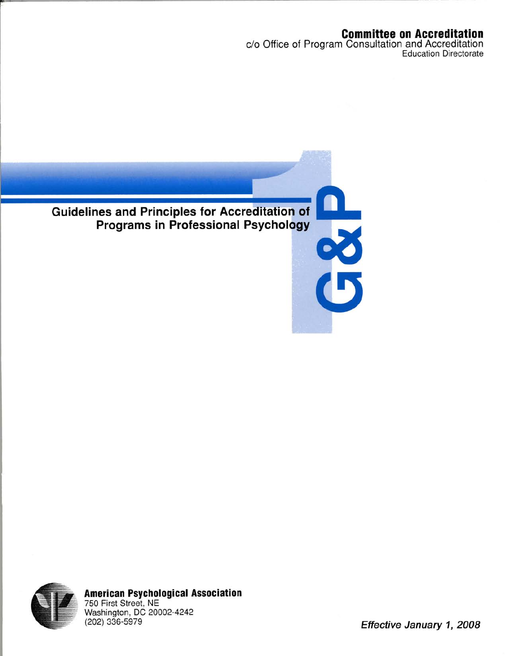**Committee on Accreditation** c/o Office of Program Consultation and Accreditation **Education Directorate** 





**American Psychological Association**<br>750 First Street, NE Washington, DC 20002-4242 (202) 336-5979

Effective January 1, 2008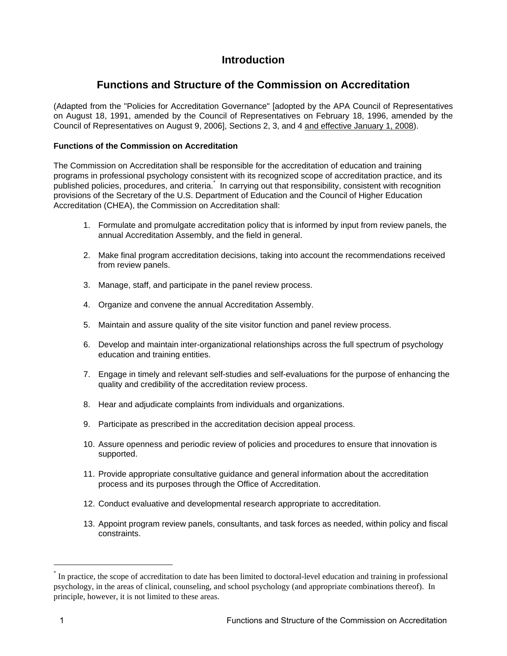#### **Introduction**

#### **Functions and Structure of the Commission on Accreditation**

(Adapted from the "Policies for Accreditation Governance" [adopted by the APA Council of Representatives on August 18, 1991, amended by the Council of Representatives on February 18, 1996, amended by the Council of Representatives on August 9, 2006], Sections 2, 3, and 4 and effective January 1, 2008).

#### **Functions of the Commission on Accreditation**

The Commission on Accreditation shall be responsible for the accreditation of education and training programs in professional psychology consistent with its recognized scope of accreditation practice, and its published policies, procedures, and criteria. In carrying out that responsibility, consistent with recognition provisions of the Secretary of the U.S. Department of Education and the Council of Higher Education Accreditation (CHEA), the Commission on Accreditation shall:

- 1. Formulate and promulgate accreditation policy that is informed by input from review panels, the annual Accreditation Assembly, and the field in general.
- 2. Make final program accreditation decisions, taking into account the recommendations received from review panels.
- 3. Manage, staff, and participate in the panel review process.
- 4. Organize and convene the annual Accreditation Assembly.
- 5. Maintain and assure quality of the site visitor function and panel review process.
- 6. Develop and maintain inter-organizational relationships across the full spectrum of psychology education and training entities.
- 7. Engage in timely and relevant self-studies and self-evaluations for the purpose of enhancing the quality and credibility of the accreditation review process.
- 8. Hear and adjudicate complaints from individuals and organizations.
- 9. Participate as prescribed in the accreditation decision appeal process.
- 10. Assure openness and periodic review of policies and procedures to ensure that innovation is supported.
- 11. Provide appropriate consultative guidance and general information about the accreditation process and its purposes through the Office of Accreditation.
- 12. Conduct evaluative and developmental research appropriate to accreditation.
- 13. Appoint program review panels, consultants, and task forces as needed, within policy and fiscal constraints.

<sup>\*</sup> In practice, the scope of accreditation to date has been limited to doctoral-level education and training in professional psychology, in the areas of clinical, counseling, and school psychology (and appropriate combinations thereof). In principle, however, it is not limited to these areas.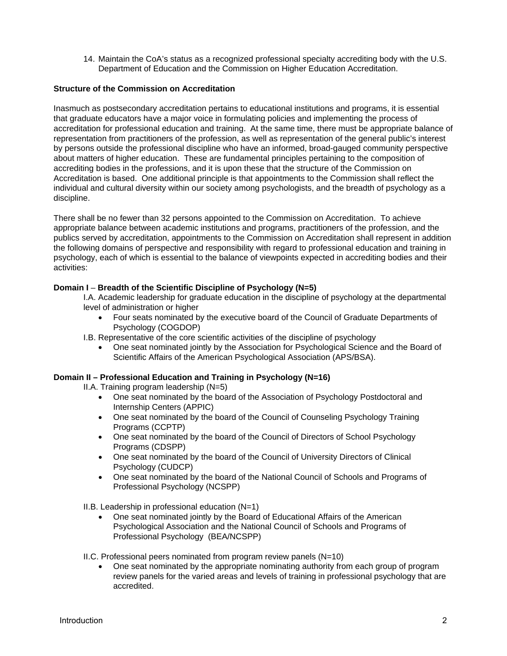14. Maintain the CoA's status as a recognized professional specialty accrediting body with the U.S. Department of Education and the Commission on Higher Education Accreditation.

#### **Structure of the Commission on Accreditation**

Inasmuch as postsecondary accreditation pertains to educational institutions and programs, it is essential that graduate educators have a major voice in formulating policies and implementing the process of accreditation for professional education and training. At the same time, there must be appropriate balance of representation from practitioners of the profession, as well as representation of the general public's interest by persons outside the professional discipline who have an informed, broad-gauged community perspective about matters of higher education. These are fundamental principles pertaining to the composition of accrediting bodies in the professions, and it is upon these that the structure of the Commission on Accreditation is based. One additional principle is that appointments to the Commission shall reflect the individual and cultural diversity within our society among psychologists, and the breadth of psychology as a discipline.

There shall be no fewer than 32 persons appointed to the Commission on Accreditation. To achieve appropriate balance between academic institutions and programs, practitioners of the profession, and the publics served by accreditation, appointments to the Commission on Accreditation shall represent in addition the following domains of perspective and responsibility with regard to professional education and training in psychology, each of which is essential to the balance of viewpoints expected in accrediting bodies and their activities:

#### **Domain I** – **Breadth of the Scientific Discipline of Psychology (N=5)**

I.A. Academic leadership for graduate education in the discipline of psychology at the departmental level of administration or higher

- Four seats nominated by the executive board of the Council of Graduate Departments of Psychology (COGDOP)
- I.B. Representative of the core scientific activities of the discipline of psychology
	- One seat nominated jointly by the Association for Psychological Science and the Board of Scientific Affairs of the American Psychological Association (APS/BSA).

#### **Domain II – Professional Education and Training in Psychology (N=16)**

II.A. Training program leadership (N=5)

- One seat nominated by the board of the Association of Psychology Postdoctoral and Internship Centers (APPIC)
- One seat nominated by the board of the Council of Counseling Psychology Training Programs (CCPTP)
- One seat nominated by the board of the Council of Directors of School Psychology Programs (CDSPP)
- One seat nominated by the board of the Council of University Directors of Clinical Psychology (CUDCP)
- One seat nominated by the board of the National Council of Schools and Programs of Professional Psychology (NCSPP)

II.B. Leadership in professional education  $(N=1)$ 

• One seat nominated jointly by the Board of Educational Affairs of the American Psychological Association and the National Council of Schools and Programs of Professional Psychology (BEA/NCSPP)

#### II.C. Professional peers nominated from program review panels (N=10)

• One seat nominated by the appropriate nominating authority from each group of program review panels for the varied areas and levels of training in professional psychology that are accredited.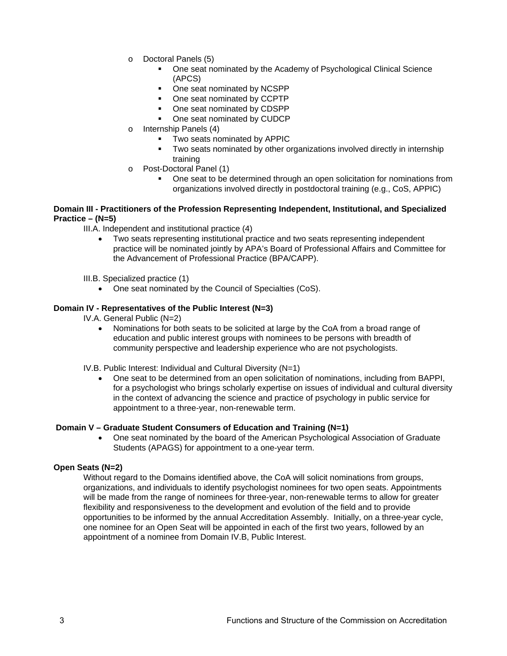- o Doctoral Panels (5)
	- One seat nominated by the Academy of Psychological Clinical Science (APCS)
	- One seat nominated by NCSPP
	- One seat nominated by CCPTP
	- One seat nominated by CDSPP
	- One seat nominated by CUDCP
- o Internship Panels (4)
	- **Two seats nominated by APPIC**
	- **Two seats nominated by other organizations involved directly in internship** training
- o Post-Doctoral Panel (1)
	- One seat to be determined through an open solicitation for nominations from organizations involved directly in postdoctoral training (e.g., CoS, APPIC)

#### **Domain III - Practitioners of the Profession Representing Independent, Institutional, and Specialized Practice – (N=5)**

III.A. Independent and institutional practice (4)

• Two seats representing institutional practice and two seats representing independent practice will be nominated jointly by APA's Board of Professional Affairs and Committee for the Advancement of Professional Practice (BPA/CAPP).

III.B. Specialized practice (1)

• One seat nominated by the Council of Specialties (CoS).

#### **Domain IV - Representatives of the Public Interest (N=3)**

IV.A. General Public (N=2)

• Nominations for both seats to be solicited at large by the CoA from a broad range of education and public interest groups with nominees to be persons with breadth of community perspective and leadership experience who are not psychologists.

IV.B. Public Interest: Individual and Cultural Diversity (N=1)

• One seat to be determined from an open solicitation of nominations, including from BAPPI, for a psychologist who brings scholarly expertise on issues of individual and cultural diversity in the context of advancing the science and practice of psychology in public service for appointment to a three-year, non-renewable term.

#### **Domain V – Graduate Student Consumers of Education and Training (N=1)**

• One seat nominated by the board of the American Psychological Association of Graduate Students (APAGS) for appointment to a one-year term.

#### **Open Seats (N=2)**

Without regard to the Domains identified above, the CoA will solicit nominations from groups, organizations, and individuals to identify psychologist nominees for two open seats. Appointments will be made from the range of nominees for three-year, non-renewable terms to allow for greater flexibility and responsiveness to the development and evolution of the field and to provide opportunities to be informed by the annual Accreditation Assembly. Initially, on a three-year cycle, one nominee for an Open Seat will be appointed in each of the first two years, followed by an appointment of a nominee from Domain IV.B, Public Interest.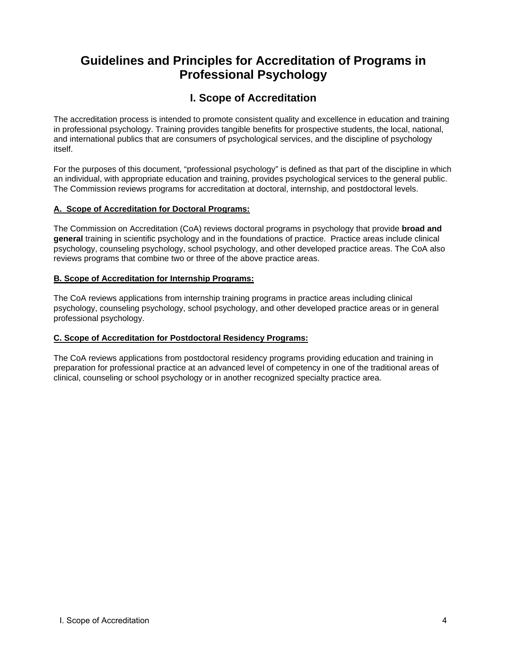# **Guidelines and Principles for Accreditation of Programs in Professional Psychology**

### **I. Scope of Accreditation**

The accreditation process is intended to promote consistent quality and excellence in education and training in professional psychology. Training provides tangible benefits for prospective students, the local, national, and international publics that are consumers of psychological services, and the discipline of psychology itself.

For the purposes of this document, "professional psychology" is defined as that part of the discipline in which an individual, with appropriate education and training, provides psychological services to the general public. The Commission reviews programs for accreditation at doctoral, internship, and postdoctoral levels.

#### **A. Scope of Accreditation for Doctoral Programs:**

The Commission on Accreditation (CoA) reviews doctoral programs in psychology that provide **broad and general** training in scientific psychology and in the foundations of practice. Practice areas include clinical psychology, counseling psychology, school psychology, and other developed practice areas. The CoA also reviews programs that combine two or three of the above practice areas.

#### **B. Scope of Accreditation for Internship Programs:**

The CoA reviews applications from internship training programs in practice areas including clinical psychology, counseling psychology, school psychology, and other developed practice areas or in general professional psychology.

#### **C. Scope of Accreditation for Postdoctoral Residency Programs:**

The CoA reviews applications from postdoctoral residency programs providing education and training in preparation for professional practice at an advanced level of competency in one of the traditional areas of clinical, counseling or school psychology or in another recognized specialty practice area.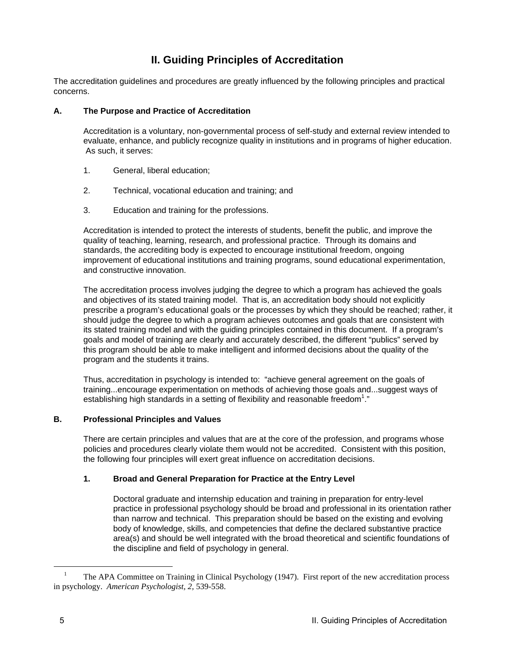### **II. Guiding Principles of Accreditation**

The accreditation guidelines and procedures are greatly influenced by the following principles and practical concerns.

#### **A. The Purpose and Practice of Accreditation**

 Accreditation is a voluntary, non-governmental process of self-study and external review intended to evaluate, enhance, and publicly recognize quality in institutions and in programs of higher education. As such, it serves:

- 1. General, liberal education;
- 2. Technical, vocational education and training; and
- 3. Education and training for the professions.

 Accreditation is intended to protect the interests of students, benefit the public, and improve the quality of teaching, learning, research, and professional practice. Through its domains and standards, the accrediting body is expected to encourage institutional freedom, ongoing improvement of educational institutions and training programs, sound educational experimentation, and constructive innovation.

 The accreditation process involves judging the degree to which a program has achieved the goals and objectives of its stated training model. That is, an accreditation body should not explicitly prescribe a program's educational goals or the processes by which they should be reached; rather, it should judge the degree to which a program achieves outcomes and goals that are consistent with its stated training model and with the guiding principles contained in this document. If a program's goals and model of training are clearly and accurately described, the different "publics" served by this program should be able to make intelligent and informed decisions about the quality of the program and the students it trains.

 Thus, accreditation in psychology is intended to: "achieve general agreement on the goals of training...encourage experimentation on methods of achieving those goals and...suggest ways of establishing high standards in a setting of flexibility and reasonable freedom<sup>1</sup>."

#### **B. Professional Principles and Values**

 There are certain principles and values that are at the core of the profession, and programs whose policies and procedures clearly violate them would not be accredited. Consistent with this position, the following four principles will exert great influence on accreditation decisions.

#### **1. Broad and General Preparation for Practice at the Entry Level**

 Doctoral graduate and internship education and training in preparation for entry-level practice in professional psychology should be broad and professional in its orientation rather than narrow and technical. This preparation should be based on the existing and evolving body of knowledge, skills, and competencies that define the declared substantive practice area(s) and should be well integrated with the broad theoretical and scientific foundations of the discipline and field of psychology in general.

<sup>1</sup> The APA Committee on Training in Clinical Psychology (1947). First report of the new accreditation process in psychology. *American Psychologist, 2,* 539-558.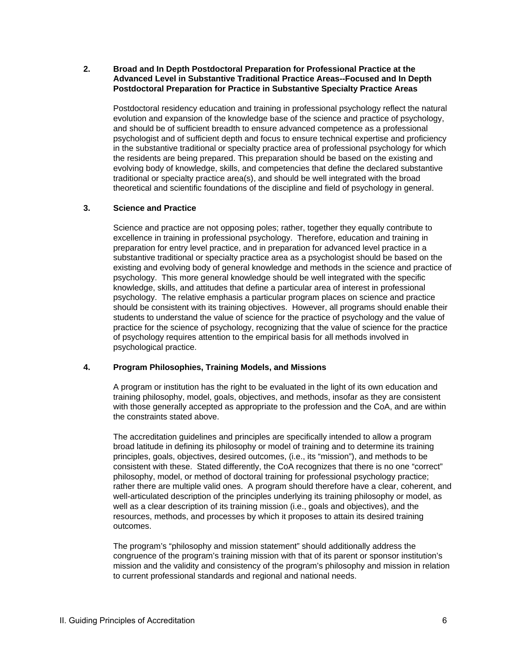#### **2. Broad and In Depth Postdoctoral Preparation for Professional Practice at the Advanced Level in Substantive Traditional Practice Areas--Focused and In Depth Postdoctoral Preparation for Practice in Substantive Specialty Practice Areas**

 Postdoctoral residency education and training in professional psychology reflect the natural evolution and expansion of the knowledge base of the science and practice of psychology, and should be of sufficient breadth to ensure advanced competence as a professional psychologist and of sufficient depth and focus to ensure technical expertise and proficiency in the substantive traditional or specialty practice area of professional psychology for which the residents are being prepared. This preparation should be based on the existing and evolving body of knowledge, skills, and competencies that define the declared substantive traditional or specialty practice area(s), and should be well integrated with the broad theoretical and scientific foundations of the discipline and field of psychology in general.

#### **3. Science and Practice**

 Science and practice are not opposing poles; rather, together they equally contribute to excellence in training in professional psychology. Therefore, education and training in preparation for entry level practice, and in preparation for advanced level practice in a substantive traditional or specialty practice area as a psychologist should be based on the existing and evolving body of general knowledge and methods in the science and practice of psychology. This more general knowledge should be well integrated with the specific knowledge, skills, and attitudes that define a particular area of interest in professional psychology. The relative emphasis a particular program places on science and practice should be consistent with its training objectives. However, all programs should enable their students to understand the value of science for the practice of psychology and the value of practice for the science of psychology, recognizing that the value of science for the practice of psychology requires attention to the empirical basis for all methods involved in psychological practice.

#### **4. Program Philosophies, Training Models, and Missions**

 A program or institution has the right to be evaluated in the light of its own education and training philosophy, model, goals, objectives, and methods, insofar as they are consistent with those generally accepted as appropriate to the profession and the CoA, and are within the constraints stated above.

 The accreditation guidelines and principles are specifically intended to allow a program broad latitude in defining its philosophy or model of training and to determine its training principles, goals, objectives, desired outcomes, (i.e., its "mission"), and methods to be consistent with these. Stated differently, the CoA recognizes that there is no one "correct" philosophy, model, or method of doctoral training for professional psychology practice; rather there are multiple valid ones. A program should therefore have a clear, coherent, and well-articulated description of the principles underlying its training philosophy or model, as well as a clear description of its training mission (i.e., goals and objectives), and the resources, methods, and processes by which it proposes to attain its desired training outcomes.

 The program's "philosophy and mission statement" should additionally address the congruence of the program's training mission with that of its parent or sponsor institution's mission and the validity and consistency of the program's philosophy and mission in relation to current professional standards and regional and national needs.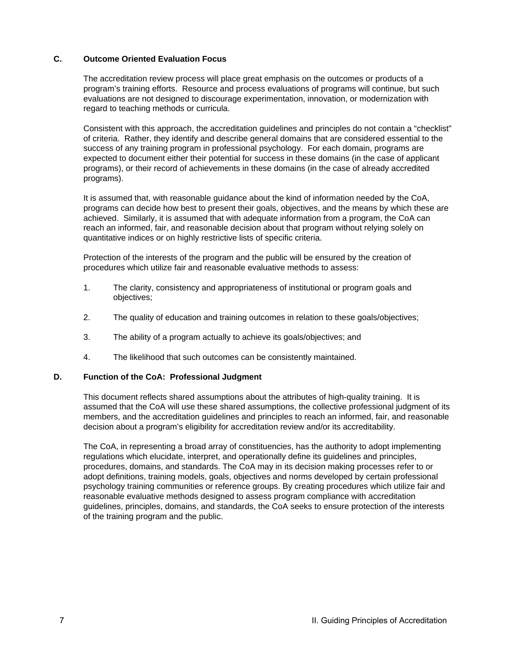#### **C. Outcome Oriented Evaluation Focus**

 The accreditation review process will place great emphasis on the outcomes or products of a program's training efforts. Resource and process evaluations of programs will continue, but such evaluations are not designed to discourage experimentation, innovation, or modernization with regard to teaching methods or curricula.

 Consistent with this approach, the accreditation guidelines and principles do not contain a "checklist" of criteria. Rather, they identify and describe general domains that are considered essential to the success of any training program in professional psychology. For each domain, programs are expected to document either their potential for success in these domains (in the case of applicant programs), or their record of achievements in these domains (in the case of already accredited programs).

 It is assumed that, with reasonable guidance about the kind of information needed by the CoA, programs can decide how best to present their goals, objectives, and the means by which these are achieved. Similarly, it is assumed that with adequate information from a program, the CoA can reach an informed, fair, and reasonable decision about that program without relying solely on quantitative indices or on highly restrictive lists of specific criteria.

 Protection of the interests of the program and the public will be ensured by the creation of procedures which utilize fair and reasonable evaluative methods to assess:

- 1. The clarity, consistency and appropriateness of institutional or program goals and objectives;
- 2. The quality of education and training outcomes in relation to these goals/objectives;
- 3. The ability of a program actually to achieve its goals/objectives; and
- 4. The likelihood that such outcomes can be consistently maintained.

#### **D. Function of the CoA: Professional Judgment**

 This document reflects shared assumptions about the attributes of high-quality training. It is assumed that the CoA will use these shared assumptions, the collective professional judgment of its members, and the accreditation guidelines and principles to reach an informed, fair, and reasonable decision about a program's eligibility for accreditation review and/or its accreditability.

 The CoA, in representing a broad array of constituencies, has the authority to adopt implementing regulations which elucidate, interpret, and operationally define its guidelines and principles, procedures, domains, and standards. The CoA may in its decision making processes refer to or adopt definitions, training models, goals, objectives and norms developed by certain professional psychology training communities or reference groups. By creating procedures which utilize fair and reasonable evaluative methods designed to assess program compliance with accreditation guidelines, principles, domains, and standards, the CoA seeks to ensure protection of the interests of the training program and the public.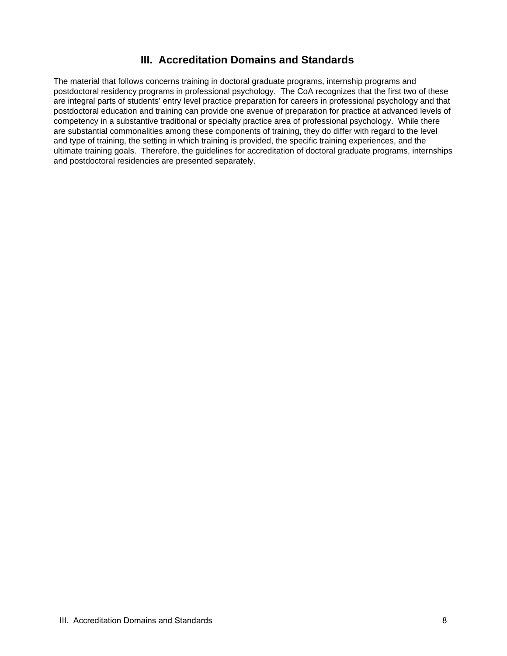#### **III. Accreditation Domains and Standards**

The material that follows concerns training in doctoral graduate programs, internship programs and postdoctoral residency programs in professional psychology. The CoA recognizes that the first two of these are integral parts of students' entry level practice preparation for careers in professional psychology and that postdoctoral education and training can provide one avenue of preparation for practice at advanced levels of competency in a substantive traditional or specialty practice area of professional psychology. While there are substantial commonalities among these components of training, they do differ with regard to the level and type of training, the setting in which training is provided, the specific training experiences, and the ultimate training goals. Therefore, the guidelines for accreditation of doctoral graduate programs, internships and postdoctoral residencies are presented separately.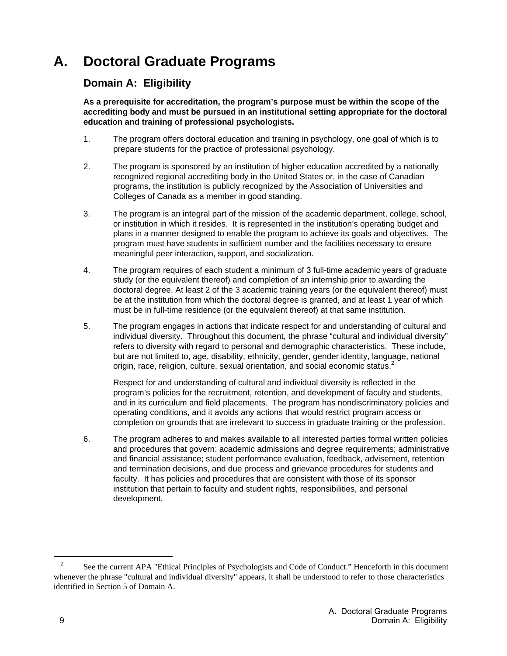# **A. Doctoral Graduate Programs**

### **Domain A: Eligibility**

 **As a prerequisite for accreditation, the program's purpose must be within the scope of the accrediting body and must be pursued in an institutional setting appropriate for the doctoral education and training of professional psychologists.** 

- 1. The program offers doctoral education and training in psychology, one goal of which is to prepare students for the practice of professional psychology.
- 2. The program is sponsored by an institution of higher education accredited by a nationally recognized regional accrediting body in the United States or, in the case of Canadian programs, the institution is publicly recognized by the Association of Universities and Colleges of Canada as a member in good standing.
- 3. The program is an integral part of the mission of the academic department, college, school, or institution in which it resides. It is represented in the institution's operating budget and plans in a manner designed to enable the program to achieve its goals and objectives. The program must have students in sufficient number and the facilities necessary to ensure meaningful peer interaction, support, and socialization.
- 4. The program requires of each student a minimum of 3 full-time academic years of graduate study (or the equivalent thereof) and completion of an internship prior to awarding the doctoral degree. At least 2 of the 3 academic training years (or the equivalent thereof) must be at the institution from which the doctoral degree is granted, and at least 1 year of which must be in full-time residence (or the equivalent thereof) at that same institution.
- 5. The program engages in actions that indicate respect for and understanding of cultural and individual diversity. Throughout this document, the phrase "cultural and individual diversity" refers to diversity with regard to personal and demographic characteristics. These include, but are not limited to, age, disability, ethnicity, gender, gender identity, language, national origin, race, religion, culture, sexual orientation, and social economic status.<sup>2</sup>

 Respect for and understanding of cultural and individual diversity is reflected in the program's policies for the recruitment, retention, and development of faculty and students, and in its curriculum and field placements. The program has nondiscriminatory policies and operating conditions, and it avoids any actions that would restrict program access or completion on grounds that are irrelevant to success in graduate training or the profession.

 6. The program adheres to and makes available to all interested parties formal written policies and procedures that govern: academic admissions and degree requirements; administrative and financial assistance; student performance evaluation, feedback, advisement, retention and termination decisions, and due process and grievance procedures for students and faculty. It has policies and procedures that are consistent with those of its sponsor institution that pertain to faculty and student rights, responsibilities, and personal development.

<sup>&</sup>lt;sup>2</sup> See the current APA "Ethical Principles of Psychologists and Code of Conduct." Henceforth in this document whenever the phrase "cultural and individual diversity" appears, it shall be understood to refer to those characteristics identified in Section 5 of Domain A.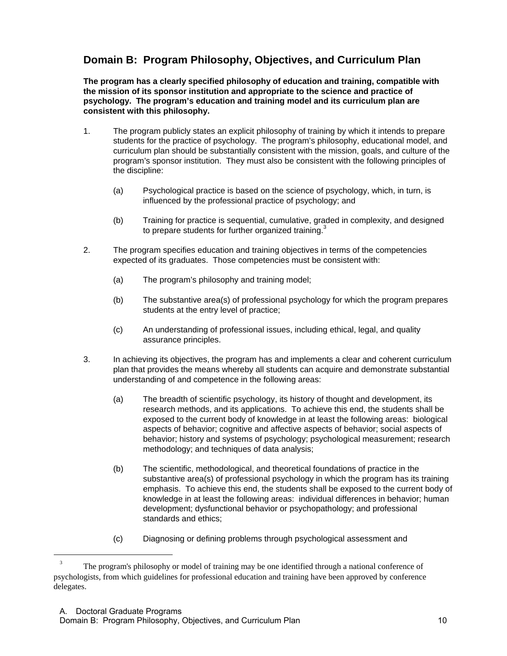### **Domain B: Program Philosophy, Objectives, and Curriculum Plan**

 **The program has a clearly specified philosophy of education and training, compatible with the mission of its sponsor institution and appropriate to the science and practice of psychology. The program's education and training model and its curriculum plan are consistent with this philosophy.**

- 1. The program publicly states an explicit philosophy of training by which it intends to prepare students for the practice of psychology. The program's philosophy, educational model, and curriculum plan should be substantially consistent with the mission, goals, and culture of the program's sponsor institution. They must also be consistent with the following principles of the discipline:
	- (a) Psychological practice is based on the science of psychology, which, in turn, is influenced by the professional practice of psychology; and
	- (b) Training for practice is sequential, cumulative, graded in complexity, and designed to prepare students for further organized training. $3$
- 2. The program specifies education and training objectives in terms of the competencies expected of its graduates. Those competencies must be consistent with:
	- (a) The program's philosophy and training model;
	- (b) The substantive area(s) of professional psychology for which the program prepares students at the entry level of practice;
	- (c) An understanding of professional issues, including ethical, legal, and quality assurance principles.
- 3. In achieving its objectives, the program has and implements a clear and coherent curriculum plan that provides the means whereby all students can acquire and demonstrate substantial understanding of and competence in the following areas:
	- (a) The breadth of scientific psychology, its history of thought and development, its research methods, and its applications. To achieve this end, the students shall be exposed to the current body of knowledge in at least the following areas: biological aspects of behavior; cognitive and affective aspects of behavior; social aspects of behavior; history and systems of psychology; psychological measurement; research methodology; and techniques of data analysis;
	- (b) The scientific, methodological, and theoretical foundations of practice in the substantive area(s) of professional psychology in which the program has its training emphasis. To achieve this end, the students shall be exposed to the current body of knowledge in at least the following areas: individual differences in behavior; human development; dysfunctional behavior or psychopathology; and professional standards and ethics;
	- (c) Diagnosing or defining problems through psychological assessment and

<sup>&</sup>lt;sup>3</sup> The program's philosophy or model of training may be one identified through a national conference of psychologists, from which guidelines for professional education and training have been approved by conference delegates.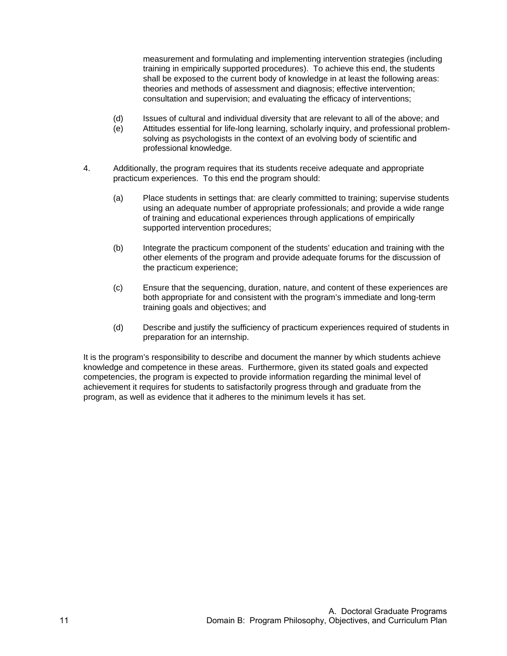measurement and formulating and implementing intervention strategies (including training in empirically supported procedures). To achieve this end, the students shall be exposed to the current body of knowledge in at least the following areas: theories and methods of assessment and diagnosis; effective intervention; consultation and supervision; and evaluating the efficacy of interventions;

- (d) Issues of cultural and individual diversity that are relevant to all of the above; and
- (e) Attitudes essential for life-long learning, scholarly inquiry, and professional problemsolving as psychologists in the context of an evolving body of scientific and professional knowledge.
- 4. Additionally, the program requires that its students receive adequate and appropriate practicum experiences. To this end the program should:
	- (a) Place students in settings that: are clearly committed to training; supervise students using an adequate number of appropriate professionals; and provide a wide range of training and educational experiences through applications of empirically supported intervention procedures;
	- (b) Integrate the practicum component of the students' education and training with the other elements of the program and provide adequate forums for the discussion of the practicum experience;
	- (c) Ensure that the sequencing, duration, nature, and content of these experiences are both appropriate for and consistent with the program's immediate and long-term training goals and objectives; and
	- (d) Describe and justify the sufficiency of practicum experiences required of students in preparation for an internship.

It is the program's responsibility to describe and document the manner by which students achieve knowledge and competence in these areas. Furthermore, given its stated goals and expected competencies, the program is expected to provide information regarding the minimal level of achievement it requires for students to satisfactorily progress through and graduate from the program, as well as evidence that it adheres to the minimum levels it has set.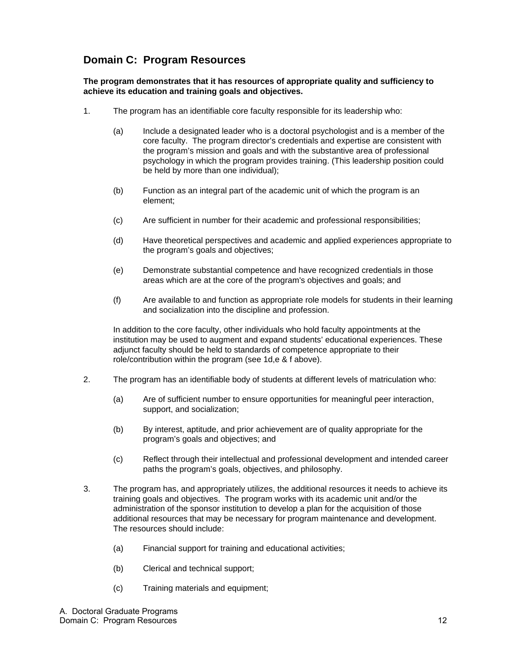### **Domain C: Program Resources**

#### **The program demonstrates that it has resources of appropriate quality and sufficiency to achieve its education and training goals and objectives.**

- 1. The program has an identifiable core faculty responsible for its leadership who:
	- (a) Include a designated leader who is a doctoral psychologist and is a member of the core faculty. The program director's credentials and expertise are consistent with the program's mission and goals and with the substantive area of professional psychology in which the program provides training. (This leadership position could be held by more than one individual);
	- (b) Function as an integral part of the academic unit of which the program is an element;
	- (c) Are sufficient in number for their academic and professional responsibilities;
	- (d) Have theoretical perspectives and academic and applied experiences appropriate to the program's goals and objectives;
	- (e) Demonstrate substantial competence and have recognized credentials in those areas which are at the core of the program's objectives and goals; and
	- (f) Are available to and function as appropriate role models for students in their learning and socialization into the discipline and profession.

 In addition to the core faculty, other individuals who hold faculty appointments at the institution may be used to augment and expand students' educational experiences. These adjunct faculty should be held to standards of competence appropriate to their role/contribution within the program (see 1d,e & f above).

- 2. The program has an identifiable body of students at different levels of matriculation who:
	- (a) Are of sufficient number to ensure opportunities for meaningful peer interaction, support, and socialization;
	- (b) By interest, aptitude, and prior achievement are of quality appropriate for the program's goals and objectives; and
	- (c) Reflect through their intellectual and professional development and intended career paths the program's goals, objectives, and philosophy.
- 3. The program has, and appropriately utilizes, the additional resources it needs to achieve its training goals and objectives. The program works with its academic unit and/or the administration of the sponsor institution to develop a plan for the acquisition of those additional resources that may be necessary for program maintenance and development. The resources should include:
	- (a) Financial support for training and educational activities;
	- (b) Clerical and technical support;
	- (c) Training materials and equipment;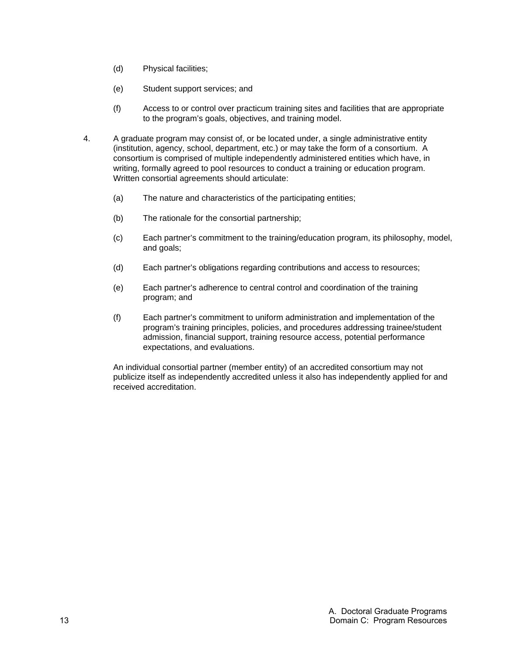- (d) Physical facilities;
- (e) Student support services; and
- (f) Access to or control over practicum training sites and facilities that are appropriate to the program's goals, objectives, and training model.
- 4. A graduate program may consist of, or be located under, a single administrative entity (institution, agency, school, department, etc.) or may take the form of a consortium. A consortium is comprised of multiple independently administered entities which have, in writing, formally agreed to pool resources to conduct a training or education program. Written consortial agreements should articulate:
	- (a) The nature and characteristics of the participating entities;
	- (b) The rationale for the consortial partnership;
	- (c) Each partner's commitment to the training/education program, its philosophy, model, and goals;
	- (d) Each partner's obligations regarding contributions and access to resources;
	- (e) Each partner's adherence to central control and coordination of the training program; and
	- (f) Each partner's commitment to uniform administration and implementation of the program's training principles, policies, and procedures addressing trainee/student admission, financial support, training resource access, potential performance expectations, and evaluations.

 An individual consortial partner (member entity) of an accredited consortium may not publicize itself as independently accredited unless it also has independently applied for and received accreditation.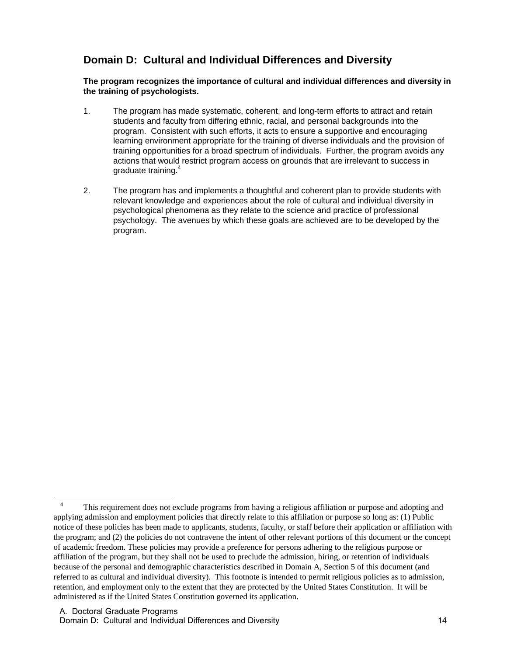### **Domain D: Cultural and Individual Differences and Diversity**

#### **The program recognizes the importance of cultural and individual differences and diversity in the training of psychologists.**

- 1. The program has made systematic, coherent, and long-term efforts to attract and retain students and faculty from differing ethnic, racial, and personal backgrounds into the program. Consistent with such efforts, it acts to ensure a supportive and encouraging learning environment appropriate for the training of diverse individuals and the provision of training opportunities for a broad spectrum of individuals. Further, the program avoids any actions that would restrict program access on grounds that are irrelevant to success in graduate training.<sup>4</sup>
- 2. The program has and implements a thoughtful and coherent plan to provide students with relevant knowledge and experiences about the role of cultural and individual diversity in psychological phenomena as they relate to the science and practice of professional psychology. The avenues by which these goals are achieved are to be developed by the program.

<sup>&</sup>lt;sup>4</sup> This requirement does not exclude programs from having a religious affiliation or purpose and adopting and applying admission and employment policies that directly relate to this affiliation or purpose so long as: (1) Public notice of these policies has been made to applicants, students, faculty, or staff before their application or affiliation with the program; and (2) the policies do not contravene the intent of other relevant portions of this document or the concept of academic freedom. These policies may provide a preference for persons adhering to the religious purpose or affiliation of the program, but they shall not be used to preclude the admission, hiring, or retention of individuals because of the personal and demographic characteristics described in Domain A, Section 5 of this document (and referred to as cultural and individual diversity). This footnote is intended to permit religious policies as to admission, retention, and employment only to the extent that they are protected by the United States Constitution. It will be administered as if the United States Constitution governed its application.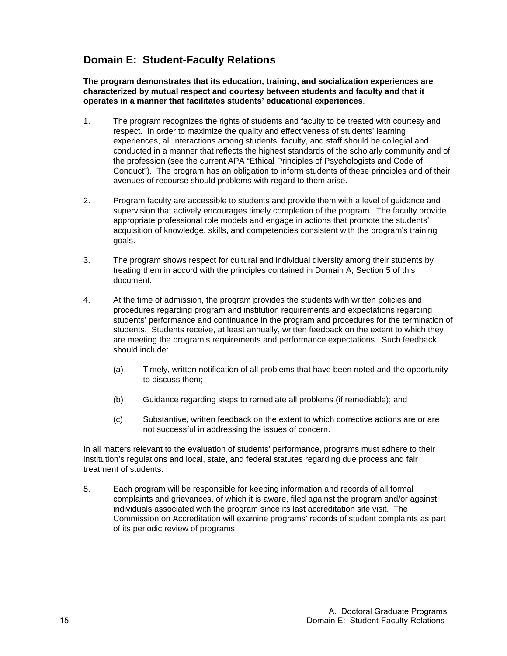### **Domain E: Student-Faculty Relations**

 **The program demonstrates that its education, training, and socialization experiences are characterized by mutual respect and courtesy between students and faculty and that it operates in a manner that facilitates students' educational experiences**.

- 1. The program recognizes the rights of students and faculty to be treated with courtesy and respect. In order to maximize the quality and effectiveness of students' learning experiences, all interactions among students, faculty, and staff should be collegial and conducted in a manner that reflects the highest standards of the scholarly community and of the profession (see the current APA "Ethical Principles of Psychologists and Code of Conduct"). The program has an obligation to inform students of these principles and of their avenues of recourse should problems with regard to them arise.
- 2. Program faculty are accessible to students and provide them with a level of guidance and supervision that actively encourages timely completion of the program. The faculty provide appropriate professional role models and engage in actions that promote the students' acquisition of knowledge, skills, and competencies consistent with the program's training goals.
- 3. The program shows respect for cultural and individual diversity among their students by treating them in accord with the principles contained in Domain A, Section 5 of this document.
- 4. At the time of admission, the program provides the students with written policies and procedures regarding program and institution requirements and expectations regarding students' performance and continuance in the program and procedures for the termination of students. Students receive, at least annually, written feedback on the extent to which they are meeting the program's requirements and performance expectations. Such feedback should include:
	- (a) Timely, written notification of all problems that have been noted and the opportunity to discuss them;
	- (b) Guidance regarding steps to remediate all problems (if remediable); and
	- (c) Substantive, written feedback on the extent to which corrective actions are or are not successful in addressing the issues of concern.

 In all matters relevant to the evaluation of students' performance, programs must adhere to their institution's regulations and local, state, and federal statutes regarding due process and fair treatment of students.

 5. Each program will be responsible for keeping information and records of all formal complaints and grievances, of which it is aware, filed against the program and/or against individuals associated with the program since its last accreditation site visit. The Commission on Accreditation will examine programs' records of student complaints as part of its periodic review of programs.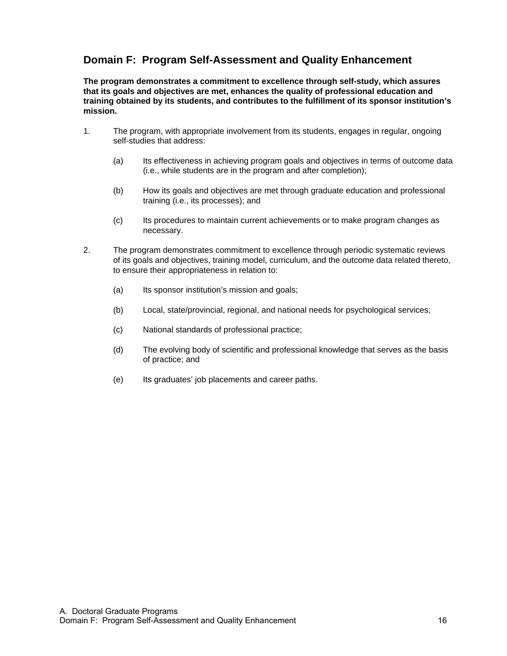### **Domain F: Program Self-Assessment and Quality Enhancement**

 **The program demonstrates a commitment to excellence through self-study, which assures that its goals and objectives are met, enhances the quality of professional education and training obtained by its students, and contributes to the fulfillment of its sponsor institution's mission.** 

- 1. The program, with appropriate involvement from its students, engages in regular, ongoing self-studies that address:
	- (a) Its effectiveness in achieving program goals and objectives in terms of outcome data (i.e., while students are in the program and after completion);
	- (b) How its goals and objectives are met through graduate education and professional training (i.e., its processes); and
	- (c) Its procedures to maintain current achievements or to make program changes as necessary.
- 2. The program demonstrates commitment to excellence through periodic systematic reviews of its goals and objectives, training model, curriculum, and the outcome data related thereto, to ensure their appropriateness in relation to:
	- (a) Its sponsor institution's mission and goals;
	- (b) Local, state/provincial, regional, and national needs for psychological services;
	- (c) National standards of professional practice;
	- (d) The evolving body of scientific and professional knowledge that serves as the basis of practice; and
	- (e) Its graduates' job placements and career paths.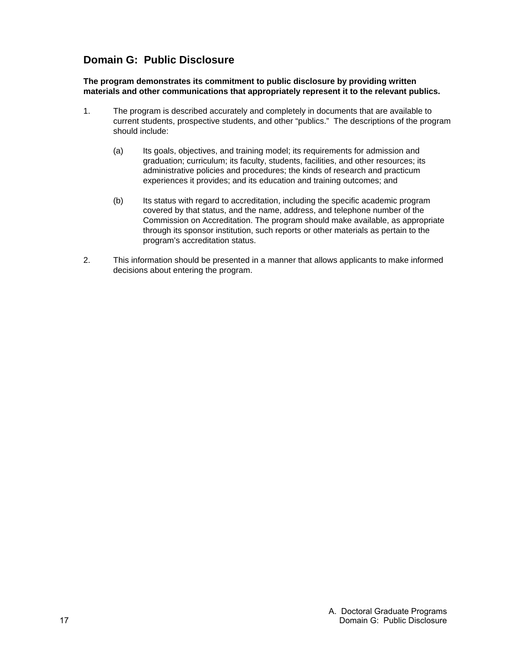### **Domain G: Public Disclosure**

 **The program demonstrates its commitment to public disclosure by providing written materials and other communications that appropriately represent it to the relevant publics.**

- 1. The program is described accurately and completely in documents that are available to current students, prospective students, and other "publics." The descriptions of the program should include:
	- (a) Its goals, objectives, and training model; its requirements for admission and graduation; curriculum; its faculty, students, facilities, and other resources; its administrative policies and procedures; the kinds of research and practicum experiences it provides; and its education and training outcomes; and
	- (b) Its status with regard to accreditation, including the specific academic program covered by that status, and the name, address, and telephone number of the Commission on Accreditation. The program should make available, as appropriate through its sponsor institution, such reports or other materials as pertain to the program's accreditation status.
- 2. This information should be presented in a manner that allows applicants to make informed decisions about entering the program.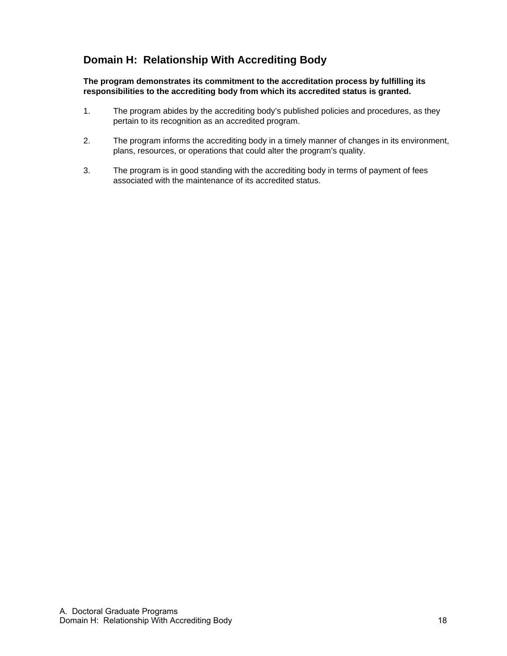### **Domain H: Relationship With Accrediting Body**

 **The program demonstrates its commitment to the accreditation process by fulfilling its responsibilities to the accrediting body from which its accredited status is granted.**

- 1. The program abides by the accrediting body's published policies and procedures, as they pertain to its recognition as an accredited program.
- 2. The program informs the accrediting body in a timely manner of changes in its environment, plans, resources, or operations that could alter the program's quality.
- 3. The program is in good standing with the accrediting body in terms of payment of fees associated with the maintenance of its accredited status.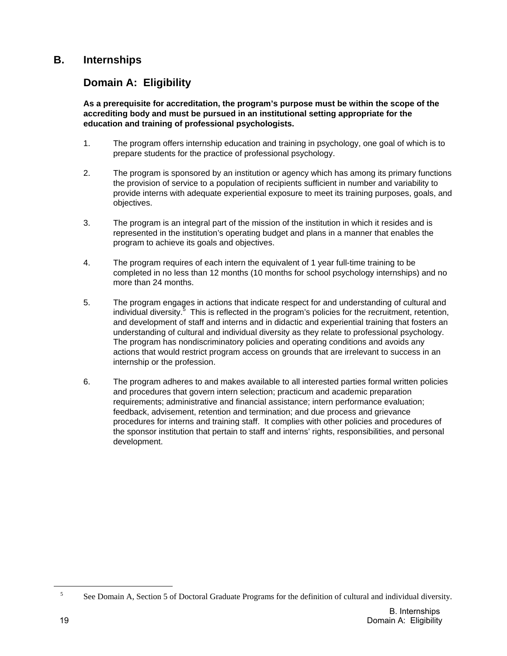#### **B. Internships**

### **Domain A: Eligibility**

 **As a prerequisite for accreditation, the program's purpose must be within the scope of the accrediting body and must be pursued in an institutional setting appropriate for the education and training of professional psychologists.**

- 1. The program offers internship education and training in psychology, one goal of which is to prepare students for the practice of professional psychology.
- 2. The program is sponsored by an institution or agency which has among its primary functions the provision of service to a population of recipients sufficient in number and variability to provide interns with adequate experiential exposure to meet its training purposes, goals, and objectives.
- 3. The program is an integral part of the mission of the institution in which it resides and is represented in the institution's operating budget and plans in a manner that enables the program to achieve its goals and objectives.
- 4. The program requires of each intern the equivalent of 1 year full-time training to be completed in no less than 12 months (10 months for school psychology internships) and no more than 24 months.
- 5. The program engages in actions that indicate respect for and understanding of cultural and individual diversity.<sup>5</sup> This is reflected in the program's policies for the recruitment, retention, and development of staff and interns and in didactic and experiential training that fosters an understanding of cultural and individual diversity as they relate to professional psychology. The program has nondiscriminatory policies and operating conditions and avoids any actions that would restrict program access on grounds that are irrelevant to success in an internship or the profession.
- 6. The program adheres to and makes available to all interested parties formal written policies and procedures that govern intern selection; practicum and academic preparation requirements; administrative and financial assistance; intern performance evaluation; feedback, advisement, retention and termination; and due process and grievance procedures for interns and training staff. It complies with other policies and procedures of the sponsor institution that pertain to staff and interns' rights, responsibilities, and personal development.

<sup>&</sup>lt;sup>5</sup> See Domain A, Section 5 of Doctoral Graduate Programs for the definition of cultural and individual diversity.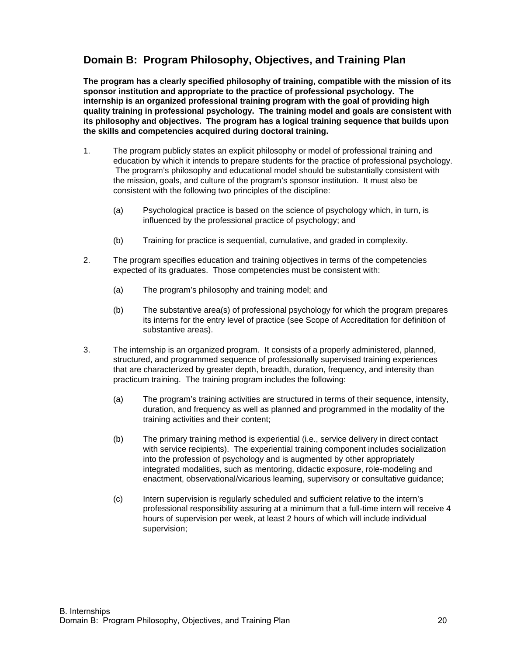### **Domain B: Program Philosophy, Objectives, and Training Plan**

 **The program has a clearly specified philosophy of training, compatible with the mission of its sponsor institution and appropriate to the practice of professional psychology. The internship is an organized professional training program with the goal of providing high quality training in professional psychology. The training model and goals are consistent with its philosophy and objectives. The program has a logical training sequence that builds upon the skills and competencies acquired during doctoral training.**

- 1. The program publicly states an explicit philosophy or model of professional training and education by which it intends to prepare students for the practice of professional psychology. The program's philosophy and educational model should be substantially consistent with the mission, goals, and culture of the program's sponsor institution. It must also be consistent with the following two principles of the discipline:
	- (a) Psychological practice is based on the science of psychology which, in turn, is influenced by the professional practice of psychology; and
	- (b) Training for practice is sequential, cumulative, and graded in complexity.
- 2. The program specifies education and training objectives in terms of the competencies expected of its graduates. Those competencies must be consistent with:
	- (a) The program's philosophy and training model; and
	- (b) The substantive area(s) of professional psychology for which the program prepares its interns for the entry level of practice (see Scope of Accreditation for definition of substantive areas).
- 3. The internship is an organized program. It consists of a properly administered, planned, structured, and programmed sequence of professionally supervised training experiences that are characterized by greater depth, breadth, duration, frequency, and intensity than practicum training. The training program includes the following:
	- (a) The program's training activities are structured in terms of their sequence, intensity, duration, and frequency as well as planned and programmed in the modality of the training activities and their content;
	- (b) The primary training method is experiential (i.e., service delivery in direct contact with service recipients). The experiential training component includes socialization into the profession of psychology and is augmented by other appropriately integrated modalities, such as mentoring, didactic exposure, role-modeling and enactment, observational/vicarious learning, supervisory or consultative guidance;
	- (c) Intern supervision is regularly scheduled and sufficient relative to the intern's professional responsibility assuring at a minimum that a full-time intern will receive 4 hours of supervision per week, at least 2 hours of which will include individual supervision;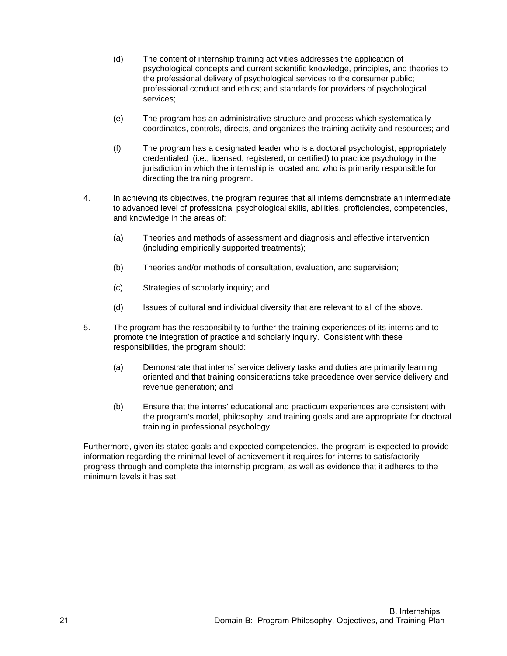- (d) The content of internship training activities addresses the application of psychological concepts and current scientific knowledge, principles, and theories to the professional delivery of psychological services to the consumer public; professional conduct and ethics; and standards for providers of psychological services;
- (e) The program has an administrative structure and process which systematically coordinates, controls, directs, and organizes the training activity and resources; and
- (f) The program has a designated leader who is a doctoral psychologist, appropriately credentialed (i.e., licensed, registered, or certified) to practice psychology in the jurisdiction in which the internship is located and who is primarily responsible for directing the training program.
- 4. In achieving its objectives, the program requires that all interns demonstrate an intermediate to advanced level of professional psychological skills, abilities, proficiencies, competencies, and knowledge in the areas of:
	- (a) Theories and methods of assessment and diagnosis and effective intervention (including empirically supported treatments);
	- (b) Theories and/or methods of consultation, evaluation, and supervision;
	- (c) Strategies of scholarly inquiry; and
	- (d) Issues of cultural and individual diversity that are relevant to all of the above.
- 5. The program has the responsibility to further the training experiences of its interns and to promote the integration of practice and scholarly inquiry. Consistent with these responsibilities, the program should:
	- (a) Demonstrate that interns' service delivery tasks and duties are primarily learning oriented and that training considerations take precedence over service delivery and revenue generation; and
	- (b) Ensure that the interns' educational and practicum experiences are consistent with the program's model, philosophy, and training goals and are appropriate for doctoral training in professional psychology.

Furthermore, given its stated goals and expected competencies, the program is expected to provide information regarding the minimal level of achievement it requires for interns to satisfactorily progress through and complete the internship program, as well as evidence that it adheres to the minimum levels it has set.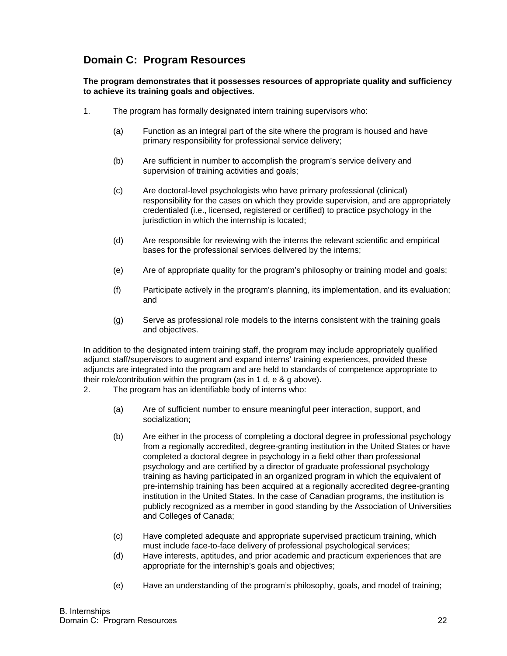### **Domain C: Program Resources**

#### **The program demonstrates that it possesses resources of appropriate quality and sufficiency to achieve its training goals and objectives.**

- 1. The program has formally designated intern training supervisors who:
	- (a) Function as an integral part of the site where the program is housed and have primary responsibility for professional service delivery;
	- (b) Are sufficient in number to accomplish the program's service delivery and supervision of training activities and goals;
	- (c) Are doctoral-level psychologists who have primary professional (clinical) responsibility for the cases on which they provide supervision, and are appropriately credentialed (i.e., licensed, registered or certified) to practice psychology in the jurisdiction in which the internship is located;
	- (d) Are responsible for reviewing with the interns the relevant scientific and empirical bases for the professional services delivered by the interns;
	- (e) Are of appropriate quality for the program's philosophy or training model and goals;
	- (f) Participate actively in the program's planning, its implementation, and its evaluation; and
	- (g) Serve as professional role models to the interns consistent with the training goals and objectives.

 In addition to the designated intern training staff, the program may include appropriately qualified adjunct staff/supervisors to augment and expand interns' training experiences, provided these adjuncts are integrated into the program and are held to standards of competence appropriate to their role/contribution within the program (as in 1 d, e & g above).

- 2. The program has an identifiable body of interns who:
	- (a) Are of sufficient number to ensure meaningful peer interaction, support, and socialization;
	- (b) Are either in the process of completing a doctoral degree in professional psychology from a regionally accredited, degree-granting institution in the United States or have completed a doctoral degree in psychology in a field other than professional psychology and are certified by a director of graduate professional psychology training as having participated in an organized program in which the equivalent of pre-internship training has been acquired at a regionally accredited degree-granting institution in the United States. In the case of Canadian programs, the institution is publicly recognized as a member in good standing by the Association of Universities and Colleges of Canada;
	- (c) Have completed adequate and appropriate supervised practicum training, which must include face-to-face delivery of professional psychological services;
	- (d) Have interests, aptitudes, and prior academic and practicum experiences that are appropriate for the internship's goals and objectives;
	- (e) Have an understanding of the program's philosophy, goals, and model of training;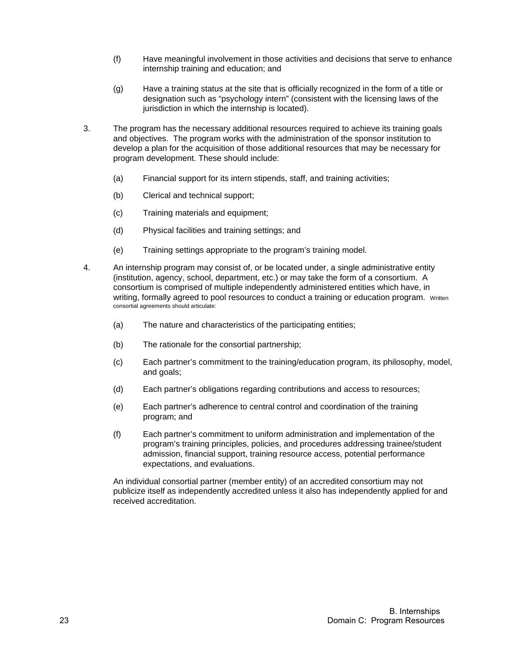- (f) Have meaningful involvement in those activities and decisions that serve to enhance internship training and education; and
- (g) Have a training status at the site that is officially recognized in the form of a title or designation such as "psychology intern" (consistent with the licensing laws of the jurisdiction in which the internship is located).
- 3. The program has the necessary additional resources required to achieve its training goals and objectives. The program works with the administration of the sponsor institution to develop a plan for the acquisition of those additional resources that may be necessary for program development. These should include:
	- (a) Financial support for its intern stipends, staff, and training activities;
	- (b) Clerical and technical support;
	- (c) Training materials and equipment;
	- (d) Physical facilities and training settings; and
	- (e) Training settings appropriate to the program's training model.
- 4. An internship program may consist of, or be located under, a single administrative entity (institution, agency, school, department, etc.) or may take the form of a consortium. A consortium is comprised of multiple independently administered entities which have, in writing, formally agreed to pool resources to conduct a training or education program. Written consortial agreements should articulate:
	- (a) The nature and characteristics of the participating entities;
	- (b) The rationale for the consortial partnership;
	- (c) Each partner's commitment to the training/education program, its philosophy, model, and goals;
	- (d) Each partner's obligations regarding contributions and access to resources;
	- (e) Each partner's adherence to central control and coordination of the training program; and
	- (f) Each partner's commitment to uniform administration and implementation of the program's training principles, policies, and procedures addressing trainee/student admission, financial support, training resource access, potential performance expectations, and evaluations.

 An individual consortial partner (member entity) of an accredited consortium may not publicize itself as independently accredited unless it also has independently applied for and received accreditation.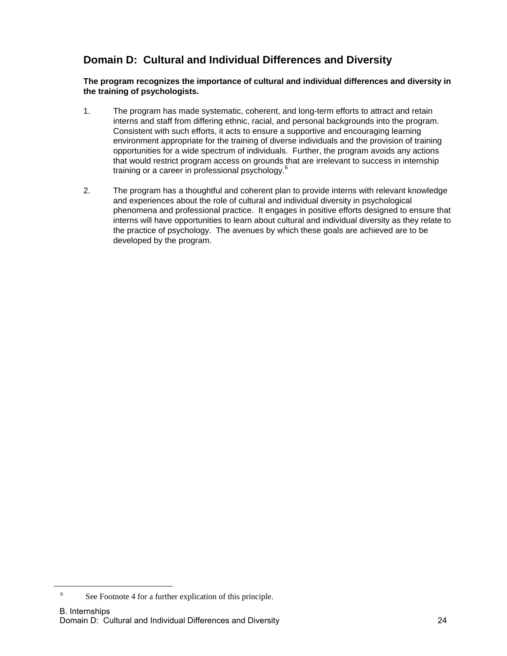### **Domain D: Cultural and Individual Differences and Diversity**

#### **The program recognizes the importance of cultural and individual differences and diversity in the training of psychologists.**

- 1. The program has made systematic, coherent, and long-term efforts to attract and retain interns and staff from differing ethnic, racial, and personal backgrounds into the program. Consistent with such efforts, it acts to ensure a supportive and encouraging learning environment appropriate for the training of diverse individuals and the provision of training opportunities for a wide spectrum of individuals. Further, the program avoids any actions that would restrict program access on grounds that are irrelevant to success in internship training or a career in professional psychology.<sup>6</sup>
- 2. The program has a thoughtful and coherent plan to provide interns with relevant knowledge and experiences about the role of cultural and individual diversity in psychological phenomena and professional practice. It engages in positive efforts designed to ensure that interns will have opportunities to learn about cultural and individual diversity as they relate to the practice of psychology. The avenues by which these goals are achieved are to be developed by the program.

<sup>&</sup>lt;sup>6</sup> See Footnote 4 for a further explication of this principle.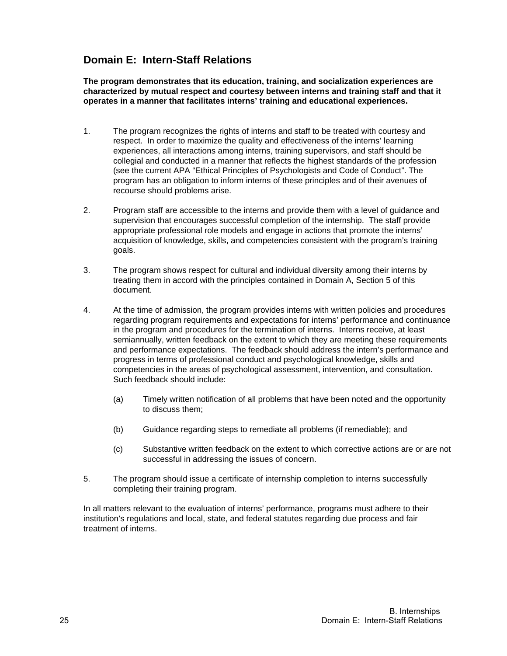### **Domain E: Intern-Staff Relations**

 **The program demonstrates that its education, training, and socialization experiences are characterized by mutual respect and courtesy between interns and training staff and that it operates in a manner that facilitates interns' training and educational experiences.**

- 1. The program recognizes the rights of interns and staff to be treated with courtesy and respect. In order to maximize the quality and effectiveness of the interns' learning experiences, all interactions among interns, training supervisors, and staff should be collegial and conducted in a manner that reflects the highest standards of the profession (see the current APA "Ethical Principles of Psychologists and Code of Conduct". The program has an obligation to inform interns of these principles and of their avenues of recourse should problems arise.
- 2. Program staff are accessible to the interns and provide them with a level of guidance and supervision that encourages successful completion of the internship. The staff provide appropriate professional role models and engage in actions that promote the interns' acquisition of knowledge, skills, and competencies consistent with the program's training goals.
- 3. The program shows respect for cultural and individual diversity among their interns by treating them in accord with the principles contained in Domain A, Section 5 of this document.
- 4. At the time of admission, the program provides interns with written policies and procedures regarding program requirements and expectations for interns' performance and continuance in the program and procedures for the termination of interns. Interns receive, at least semiannually, written feedback on the extent to which they are meeting these requirements and performance expectations. The feedback should address the intern's performance and progress in terms of professional conduct and psychological knowledge, skills and competencies in the areas of psychological assessment, intervention, and consultation. Such feedback should include:
	- (a) Timely written notification of all problems that have been noted and the opportunity to discuss them;
	- (b) Guidance regarding steps to remediate all problems (if remediable); and
	- (c) Substantive written feedback on the extent to which corrective actions are or are not successful in addressing the issues of concern.
- 5. The program should issue a certificate of internship completion to interns successfully completing their training program.

 In all matters relevant to the evaluation of interns' performance, programs must adhere to their institution's regulations and local, state, and federal statutes regarding due process and fair treatment of interns.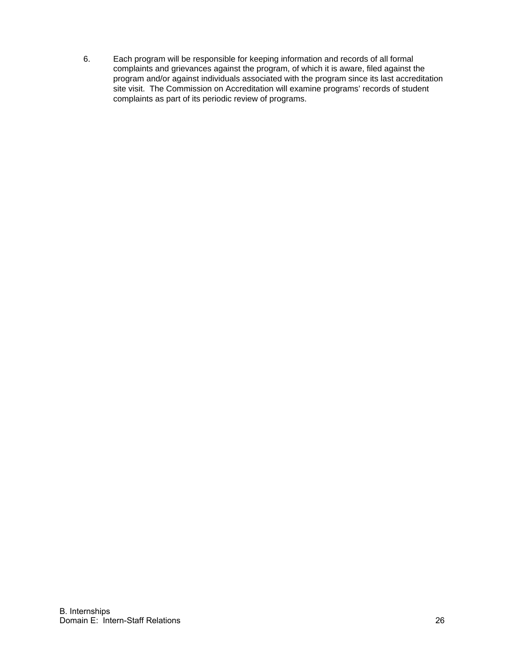6. Each program will be responsible for keeping information and records of all formal complaints and grievances against the program, of which it is aware, filed against the program and/or against individuals associated with the program since its last accreditation site visit. The Commission on Accreditation will examine programs' records of student complaints as part of its periodic review of programs.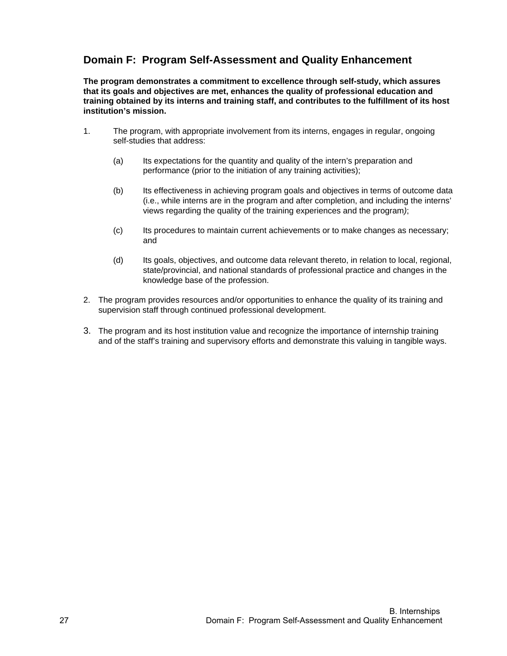### **Domain F: Program Self-Assessment and Quality Enhancement**

 **The program demonstrates a commitment to excellence through self-study, which assures that its goals and objectives are met, enhances the quality of professional education and training obtained by its interns and training staff, and contributes to the fulfillment of its host institution's mission.**

- 1. The program, with appropriate involvement from its interns, engages in regular, ongoing self-studies that address:
	- (a) Its expectations for the quantity and quality of the intern's preparation and performance (prior to the initiation of any training activities);
	- (b) Its effectiveness in achieving program goals and objectives in terms of outcome data (i.e., while interns are in the program and after completion, and including the interns' views regarding the quality of the training experiences and the program*)*;
	- (c) Its procedures to maintain current achievements or to make changes as necessary; and
	- (d) Its goals, objectives, and outcome data relevant thereto, in relation to local, regional, state/provincial, and national standards of professional practice and changes in the knowledge base of the profession.
- 2. The program provides resources and/or opportunities to enhance the quality of its training and supervision staff through continued professional development.
- 3. The program and its host institution value and recognize the importance of internship training and of the staff's training and supervisory efforts and demonstrate this valuing in tangible ways.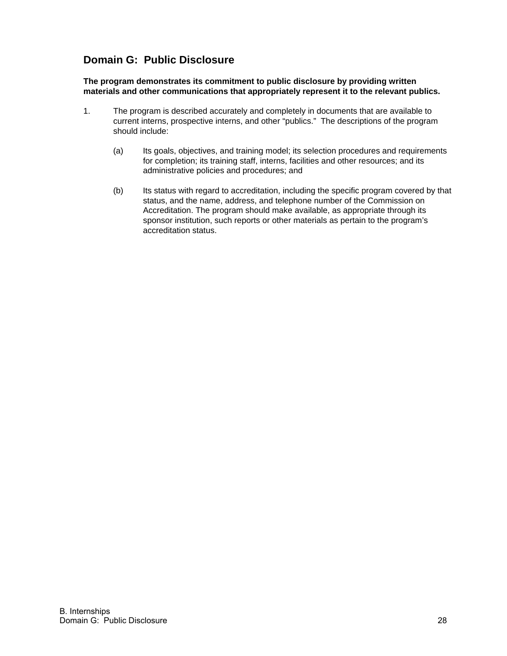### **Domain G: Public Disclosure**

 **The program demonstrates its commitment to public disclosure by providing written materials and other communications that appropriately represent it to the relevant publics.**

- 1. The program is described accurately and completely in documents that are available to current interns, prospective interns, and other "publics." The descriptions of the program should include:
	- (a) Its goals, objectives, and training model; its selection procedures and requirements for completion; its training staff, interns, facilities and other resources; and its administrative policies and procedures; and
	- (b) Its status with regard to accreditation, including the specific program covered by that status, and the name, address, and telephone number of the Commission on Accreditation. The program should make available, as appropriate through its sponsor institution, such reports or other materials as pertain to the program's accreditation status.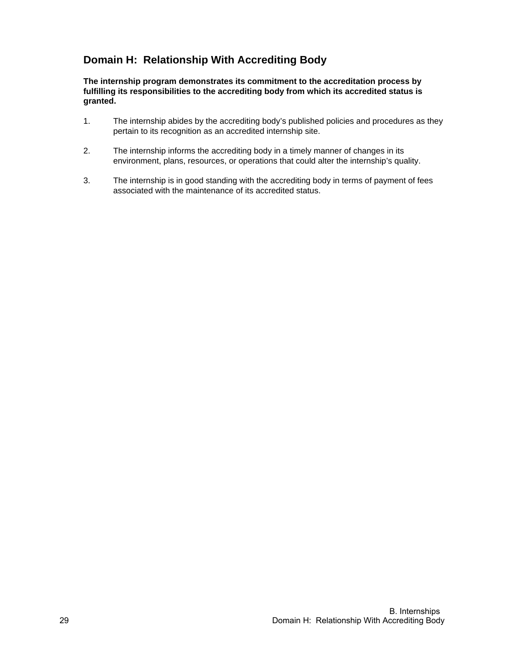### **Domain H: Relationship With Accrediting Body**

 **The internship program demonstrates its commitment to the accreditation process by fulfilling its responsibilities to the accrediting body from which its accredited status is granted.**

- 1. The internship abides by the accrediting body's published policies and procedures as they pertain to its recognition as an accredited internship site.
- 2. The internship informs the accrediting body in a timely manner of changes in its environment, plans, resources, or operations that could alter the internship's quality.
- 3. The internship is in good standing with the accrediting body in terms of payment of fees associated with the maintenance of its accredited status.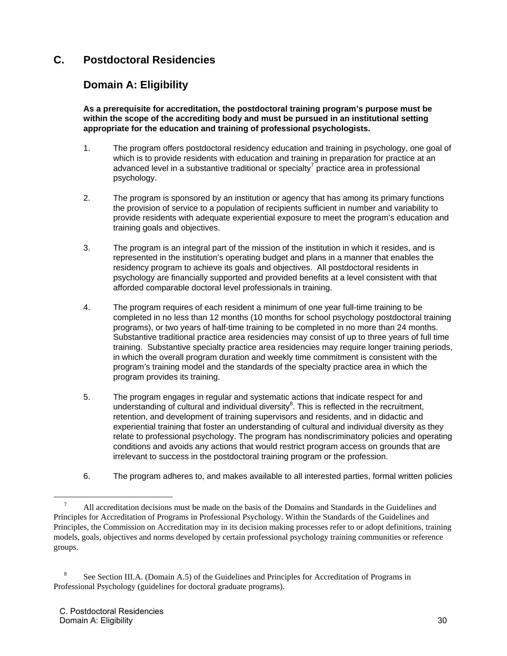### **C. Postdoctoral Residencies**

### **Domain A: Eligibility**

 **As a prerequisite for accreditation, the postdoctoral training program's purpose must be within the scope of the accrediting body and must be pursued in an institutional setting appropriate for the education and training of professional psychologists.**

- 1. The program offers postdoctoral residency education and training in psychology, one goal of which is to provide residents with education and training in preparation for practice at an advanced level in a substantive traditional or specialty<sup>7</sup> practice area in professional psychology.
- 2. The program is sponsored by an institution or agency that has among its primary functions the provision of service to a population of recipients sufficient in number and variability to provide residents with adequate experiential exposure to meet the program's education and training goals and objectives.
- 3. The program is an integral part of the mission of the institution in which it resides, and is represented in the institution's operating budget and plans in a manner that enables the residency program to achieve its goals and objectives. All postdoctoral residents in psychology are financially supported and provided benefits at a level consistent with that afforded comparable doctoral level professionals in training.
- 4. The program requires of each resident a minimum of one year full-time training to be completed in no less than 12 months (10 months for school psychology postdoctoral training programs), or two years of half-time training to be completed in no more than 24 months. Substantive traditional practice area residencies may consist of up to three years of full time training. Substantive specialty practice area residencies may require longer training periods, in which the overall program duration and weekly time commitment is consistent with the program's training model and the standards of the specialty practice area in which the program provides its training.
- 5. The program engages in regular and systematic actions that indicate respect for and understanding of cultural and individual diversity $8$ . This is reflected in the recruitment, retention, and development of training supervisors and residents, and in didactic and experiential training that foster an understanding of cultural and individual diversity as they relate to professional psychology. The program has nondiscriminatory policies and operating conditions and avoids any actions that would restrict program access on grounds that are irrelevant to success in the postdoctoral training program or the profession.
- 6. The program adheres to, and makes available to all interested parties, formal written policies

<sup>7</sup> All accreditation decisions must be made on the basis of the Domains and Standards in the Guidelines and Principles for Accreditation of Programs in Professional Psychology. Within the Standards of the Guidelines and Principles, the Commission on Accreditation may in its decision making processes refer to or adopt definitions, training models, goals, objectives and norms developed by certain professional psychology training communities or reference groups.

<sup>8</sup> See Section III.A. (Domain A.5) of the Guidelines and Principles for Accreditation of Programs in Professional Psychology (guidelines for doctoral graduate programs).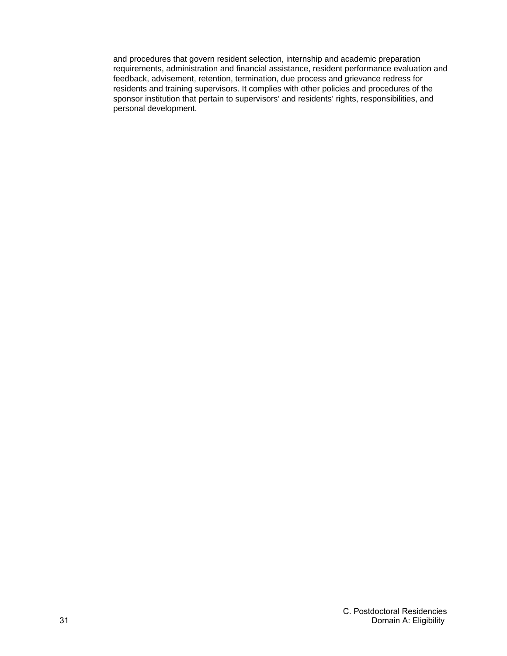and procedures that govern resident selection, internship and academic preparation requirements, administration and financial assistance, resident performance evaluation and feedback, advisement, retention, termination, due process and grievance redress for residents and training supervisors. It complies with other policies and procedures of the sponsor institution that pertain to supervisors' and residents' rights, responsibilities, and personal development.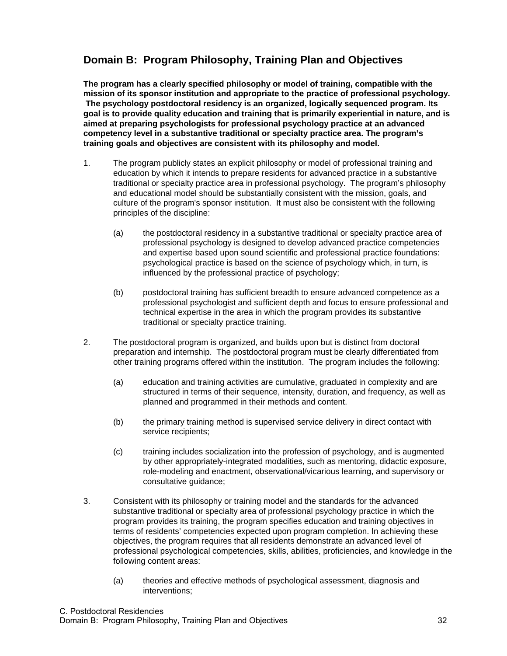### **Domain B: Program Philosophy, Training Plan and Objectives**

 **The program has a clearly specified philosophy or model of training, compatible with the mission of its sponsor institution and appropriate to the practice of professional psychology. The psychology postdoctoral residency is an organized, logically sequenced program. Its goal is to provide quality education and training that is primarily experiential in nature, and is aimed at preparing psychologists for professional psychology practice at an advanced competency level in a substantive traditional or specialty practice area. The program's training goals and objectives are consistent with its philosophy and model.**

- 1. The program publicly states an explicit philosophy or model of professional training and education by which it intends to prepare residents for advanced practice in a substantive traditional or specialty practice area in professional psychology. The program's philosophy and educational model should be substantially consistent with the mission, goals, and culture of the program's sponsor institution. It must also be consistent with the following principles of the discipline:
	- (a) the postdoctoral residency in a substantive traditional or specialty practice area of professional psychology is designed to develop advanced practice competencies and expertise based upon sound scientific and professional practice foundations: psychological practice is based on the science of psychology which, in turn, is influenced by the professional practice of psychology;
	- (b) postdoctoral training has sufficient breadth to ensure advanced competence as a professional psychologist and sufficient depth and focus to ensure professional and technical expertise in the area in which the program provides its substantive traditional or specialty practice training.
- 2. The postdoctoral program is organized, and builds upon but is distinct from doctoral preparation and internship. The postdoctoral program must be clearly differentiated from other training programs offered within the institution. The program includes the following:
	- (a) education and training activities are cumulative, graduated in complexity and are structured in terms of their sequence, intensity, duration, and frequency, as well as planned and programmed in their methods and content.
	- (b) the primary training method is supervised service delivery in direct contact with service recipients;
	- (c) training includes socialization into the profession of psychology, and is augmented by other appropriately-integrated modalities, such as mentoring, didactic exposure, role-modeling and enactment, observational/vicarious learning, and supervisory or consultative guidance;
- 3. Consistent with its philosophy or training model and the standards for the advanced substantive traditional or specialty area of professional psychology practice in which the program provides its training, the program specifies education and training objectives in terms of residents' competencies expected upon program completion. In achieving these objectives, the program requires that all residents demonstrate an advanced level of professional psychological competencies, skills, abilities, proficiencies, and knowledge in the following content areas:
	- (a) theories and effective methods of psychological assessment, diagnosis and interventions;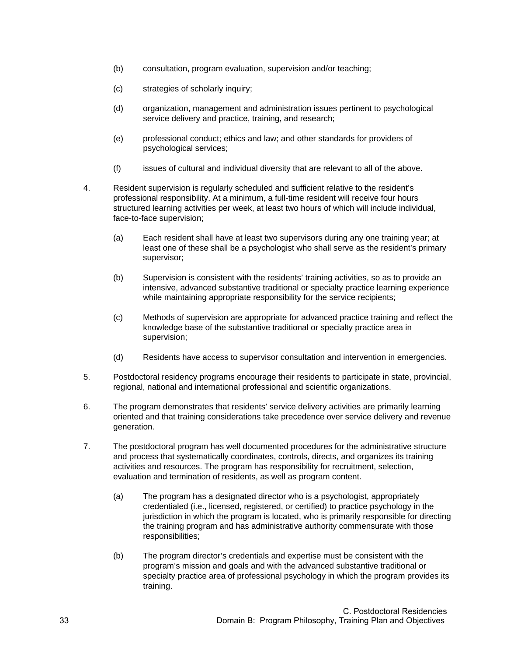- (b) consultation, program evaluation, supervision and/or teaching;
- (c) strategies of scholarly inquiry;
- (d) organization, management and administration issues pertinent to psychological service delivery and practice, training, and research;
- (e) professional conduct; ethics and law; and other standards for providers of psychological services;
- (f) issues of cultural and individual diversity that are relevant to all of the above.
- 4. Resident supervision is regularly scheduled and sufficient relative to the resident's professional responsibility. At a minimum, a full-time resident will receive four hours structured learning activities per week, at least two hours of which will include individual, face-to-face supervision;
	- (a) Each resident shall have at least two supervisors during any one training year; at least one of these shall be a psychologist who shall serve as the resident's primary supervisor;
	- (b) Supervision is consistent with the residents' training activities, so as to provide an intensive, advanced substantive traditional or specialty practice learning experience while maintaining appropriate responsibility for the service recipients;
	- (c) Methods of supervision are appropriate for advanced practice training and reflect the knowledge base of the substantive traditional or specialty practice area in supervision;
	- (d) Residents have access to supervisor consultation and intervention in emergencies.
- 5. Postdoctoral residency programs encourage their residents to participate in state, provincial, regional, national and international professional and scientific organizations.
- 6. The program demonstrates that residents' service delivery activities are primarily learning oriented and that training considerations take precedence over service delivery and revenue generation.
- 7. The postdoctoral program has well documented procedures for the administrative structure and process that systematically coordinates, controls, directs, and organizes its training activities and resources. The program has responsibility for recruitment, selection, evaluation and termination of residents, as well as program content.
	- (a) The program has a designated director who is a psychologist, appropriately credentialed (i.e., licensed, registered, or certified) to practice psychology in the jurisdiction in which the program is located, who is primarily responsible for directing the training program and has administrative authority commensurate with those responsibilities;
	- (b) The program director's credentials and expertise must be consistent with the program's mission and goals and with the advanced substantive traditional or specialty practice area of professional psychology in which the program provides its training.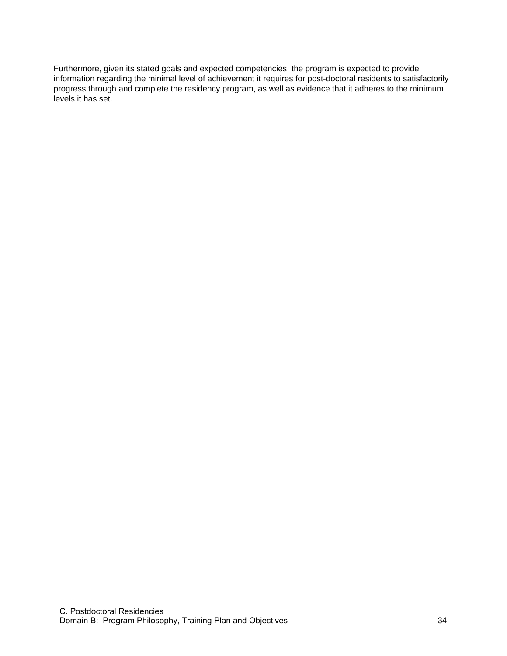Furthermore, given its stated goals and expected competencies, the program is expected to provide information regarding the minimal level of achievement it requires for post-doctoral residents to satisfactorily progress through and complete the residency program, as well as evidence that it adheres to the minimum levels it has set.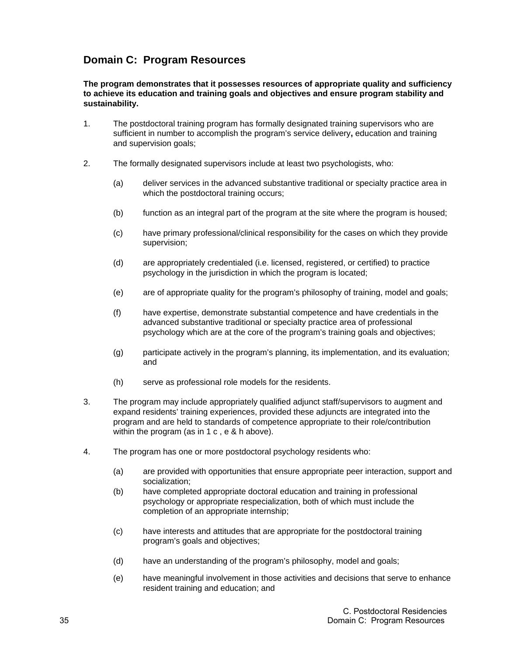### **Domain C: Program Resources**

 **The program demonstrates that it possesses resources of appropriate quality and sufficiency to achieve its education and training goals and objectives and ensure program stability and sustainability.**

- 1. The postdoctoral training program has formally designated training supervisors who are sufficient in number to accomplish the program's service delivery**,** education and training and supervision goals;
- 2. The formally designated supervisors include at least two psychologists, who:
	- (a) deliver services in the advanced substantive traditional or specialty practice area in which the postdoctoral training occurs;
	- (b) function as an integral part of the program at the site where the program is housed;
	- (c) have primary professional/clinical responsibility for the cases on which they provide supervision;
	- (d) are appropriately credentialed (i.e. licensed, registered, or certified) to practice psychology in the jurisdiction in which the program is located;
	- (e) are of appropriate quality for the program's philosophy of training, model and goals;
	- (f) have expertise, demonstrate substantial competence and have credentials in the advanced substantive traditional or specialty practice area of professional psychology which are at the core of the program's training goals and objectives;
	- (g) participate actively in the program's planning, its implementation, and its evaluation; and
	- (h) serve as professional role models for the residents.
- 3. The program may include appropriately qualified adjunct staff/supervisors to augment and expand residents' training experiences, provided these adjuncts are integrated into the program and are held to standards of competence appropriate to their role/contribution within the program (as in 1 c, e & h above).
- 4. The program has one or more postdoctoral psychology residents who:
	- (a) are provided with opportunities that ensure appropriate peer interaction, support and socialization;
	- (b) have completed appropriate doctoral education and training in professional psychology or appropriate respecialization, both of which must include the completion of an appropriate internship;
	- (c) have interests and attitudes that are appropriate for the postdoctoral training program's goals and objectives;
	- (d) have an understanding of the program's philosophy, model and goals;
	- (e) have meaningful involvement in those activities and decisions that serve to enhance resident training and education; and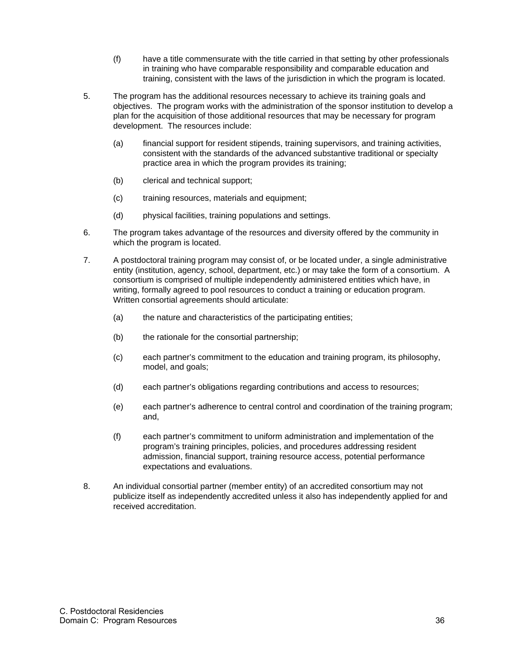- (f) have a title commensurate with the title carried in that setting by other professionals in training who have comparable responsibility and comparable education and training, consistent with the laws of the jurisdiction in which the program is located.
- 5. The program has the additional resources necessary to achieve its training goals and objectives. The program works with the administration of the sponsor institution to develop a plan for the acquisition of those additional resources that may be necessary for program development. The resources include:
	- (a) financial support for resident stipends, training supervisors, and training activities, consistent with the standards of the advanced substantive traditional or specialty practice area in which the program provides its training;
	- (b) clerical and technical support;
	- (c) training resources, materials and equipment;
	- (d) physical facilities, training populations and settings.
- 6. The program takes advantage of the resources and diversity offered by the community in which the program is located.
- 7. A postdoctoral training program may consist of, or be located under, a single administrative entity (institution, agency, school, department, etc.) or may take the form of a consortium. A consortium is comprised of multiple independently administered entities which have, in writing, formally agreed to pool resources to conduct a training or education program. Written consortial agreements should articulate:
	- (a) the nature and characteristics of the participating entities;
	- (b) the rationale for the consortial partnership;
	- (c) each partner's commitment to the education and training program, its philosophy, model, and goals;
	- (d) each partner's obligations regarding contributions and access to resources;
	- (e) each partner's adherence to central control and coordination of the training program; and,
	- (f) each partner's commitment to uniform administration and implementation of the program's training principles, policies, and procedures addressing resident admission, financial support, training resource access, potential performance expectations and evaluations.
- 8. An individual consortial partner (member entity) of an accredited consortium may not publicize itself as independently accredited unless it also has independently applied for and received accreditation.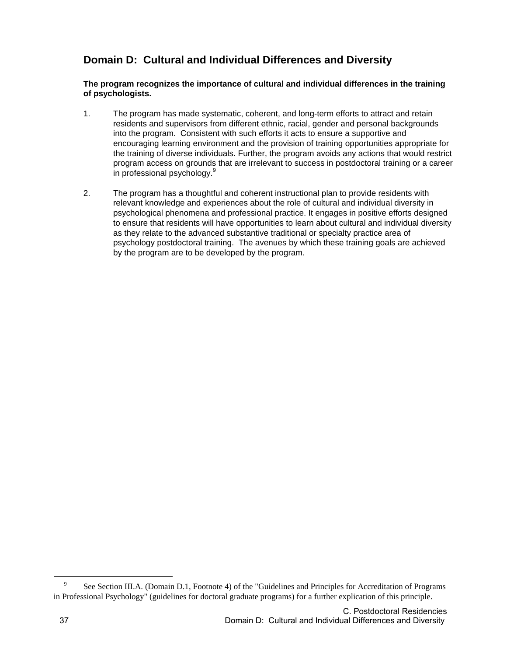### **Domain D: Cultural and Individual Differences and Diversity**

 **The program recognizes the importance of cultural and individual differences in the training of psychologists.**

- 1. The program has made systematic, coherent, and long-term efforts to attract and retain residents and supervisors from different ethnic, racial, gender and personal backgrounds into the program. Consistent with such efforts it acts to ensure a supportive and encouraging learning environment and the provision of training opportunities appropriate for the training of diverse individuals. Further, the program avoids any actions that would restrict program access on grounds that are irrelevant to success in postdoctoral training or a career in professional psychology.<sup>9</sup>
- 2. The program has a thoughtful and coherent instructional plan to provide residents with relevant knowledge and experiences about the role of cultural and individual diversity in psychological phenomena and professional practice. It engages in positive efforts designed to ensure that residents will have opportunities to learn about cultural and individual diversity as they relate to the advanced substantive traditional or specialty practice area of psychology postdoctoral training. The avenues by which these training goals are achieved by the program are to be developed by the program.

<sup>9</sup> See Section III.A. (Domain D.1, Footnote 4) of the "Guidelines and Principles for Accreditation of Programs in Professional Psychology" (guidelines for doctoral graduate programs) for a further explication of this principle.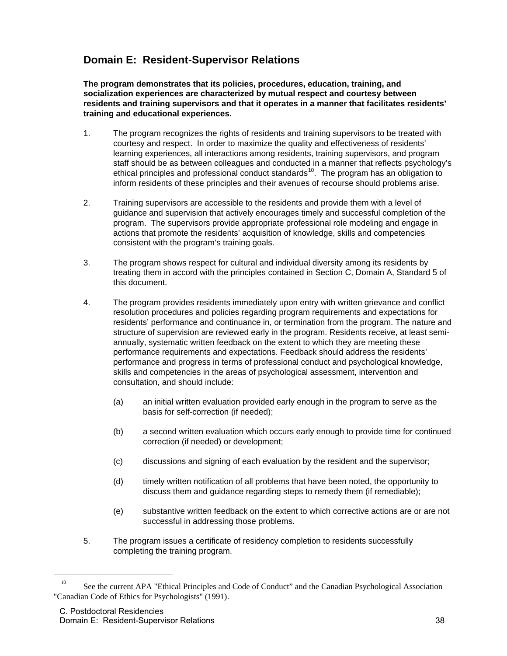## **Domain E: Resident-Supervisor Relations**

 **The program demonstrates that its policies, procedures, education, training, and socialization experiences are characterized by mutual respect and courtesy between residents and training supervisors and that it operates in a manner that facilitates residents' training and educational experiences.**

- 1. The program recognizes the rights of residents and training supervisors to be treated with courtesy and respect. In order to maximize the quality and effectiveness of residents' learning experiences, all interactions among residents, training supervisors, and program staff should be as between colleagues and conducted in a manner that reflects psychology's ethical principles and professional conduct standards<sup>10</sup>. The program has an obligation to inform residents of these principles and their avenues of recourse should problems arise.
- 2. Training supervisors are accessible to the residents and provide them with a level of guidance and supervision that actively encourages timely and successful completion of the program. The supervisors provide appropriate professional role modeling and engage in actions that promote the residents' acquisition of knowledge, skills and competencies consistent with the program's training goals.
- 3. The program shows respect for cultural and individual diversity among its residents by treating them in accord with the principles contained in Section C, Domain A, Standard 5 of this document.
- 4. The program provides residents immediately upon entry with written grievance and conflict resolution procedures and policies regarding program requirements and expectations for residents' performance and continuance in, or termination from the program. The nature and structure of supervision are reviewed early in the program. Residents receive, at least semiannually, systematic written feedback on the extent to which they are meeting these performance requirements and expectations. Feedback should address the residents' performance and progress in terms of professional conduct and psychological knowledge, skills and competencies in the areas of psychological assessment, intervention and consultation, and should include:
	- (a) an initial written evaluation provided early enough in the program to serve as the basis for self-correction (if needed);
	- (b) a second written evaluation which occurs early enough to provide time for continued correction (if needed) or development;
	- (c) discussions and signing of each evaluation by the resident and the supervisor;
	- (d) timely written notification of all problems that have been noted, the opportunity to discuss them and guidance regarding steps to remedy them (if remediable);
	- (e) substantive written feedback on the extent to which corrective actions are or are not successful in addressing those problems.
- 5. The program issues a certificate of residency completion to residents successfully completing the training program.

<sup>&</sup>lt;sup>10</sup> See the current APA "Ethical Principles and Code of Conduct" and the Canadian Psychological Association "Canadian Code of Ethics for Psychologists" (1991).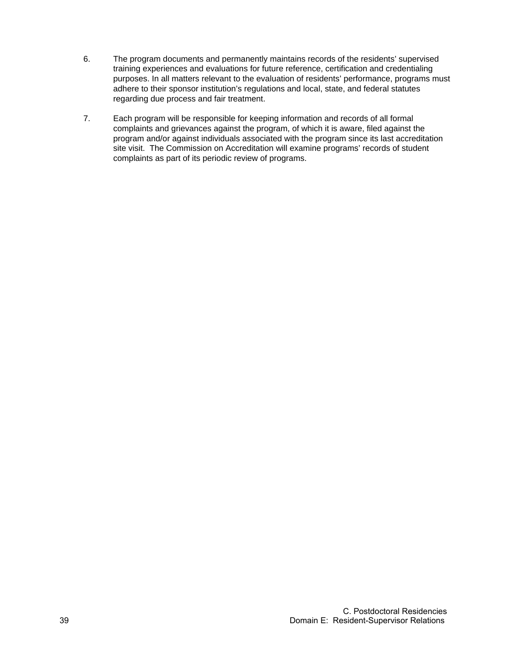- 6. The program documents and permanently maintains records of the residents' supervised training experiences and evaluations for future reference, certification and credentialing purposes. In all matters relevant to the evaluation of residents' performance, programs must adhere to their sponsor institution's regulations and local, state, and federal statutes regarding due process and fair treatment.
- 7. Each program will be responsible for keeping information and records of all formal complaints and grievances against the program, of which it is aware, filed against the program and/or against individuals associated with the program since its last accreditation site visit. The Commission on Accreditation will examine programs' records of student complaints as part of its periodic review of programs.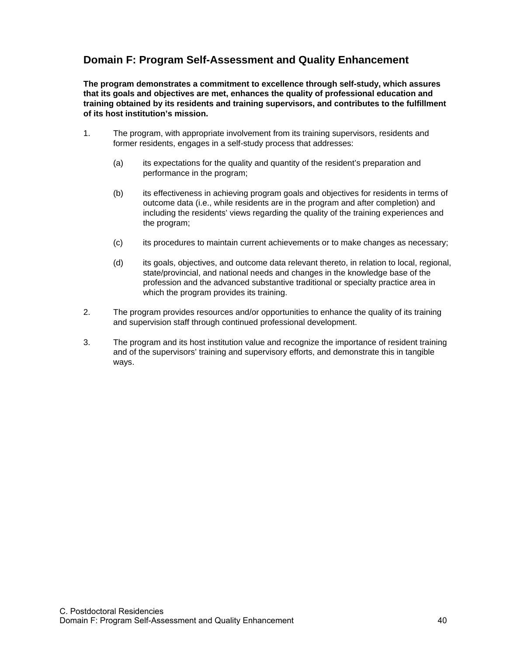### **Domain F: Program Self-Assessment and Quality Enhancement**

 **The program demonstrates a commitment to excellence through self-study, which assures that its goals and objectives are met, enhances the quality of professional education and training obtained by its residents and training supervisors, and contributes to the fulfillment of its host institution's mission.** 

- 1. The program, with appropriate involvement from its training supervisors, residents and former residents, engages in a self-study process that addresses:
	- (a) its expectations for the quality and quantity of the resident's preparation and performance in the program;
	- (b) its effectiveness in achieving program goals and objectives for residents in terms of outcome data (i.e., while residents are in the program and after completion) and including the residents' views regarding the quality of the training experiences and the program;
	- (c) its procedures to maintain current achievements or to make changes as necessary;
	- (d) its goals, objectives, and outcome data relevant thereto, in relation to local, regional, state/provincial, and national needs and changes in the knowledge base of the profession and the advanced substantive traditional or specialty practice area in which the program provides its training.
- 2. The program provides resources and/or opportunities to enhance the quality of its training and supervision staff through continued professional development.
- 3. The program and its host institution value and recognize the importance of resident training and of the supervisors' training and supervisory efforts, and demonstrate this in tangible ways.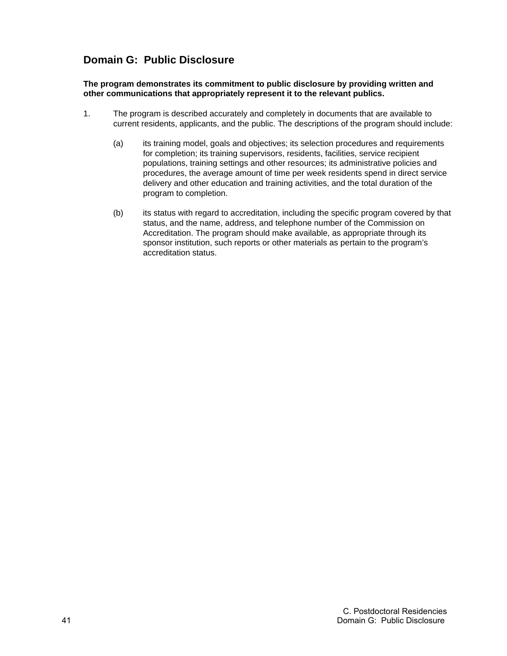### **Domain G: Public Disclosure**

 **The program demonstrates its commitment to public disclosure by providing written and other communications that appropriately represent it to the relevant publics.**

- 1. The program is described accurately and completely in documents that are available to current residents, applicants, and the public. The descriptions of the program should include:
	- (a) its training model, goals and objectives; its selection procedures and requirements for completion; its training supervisors, residents, facilities, service recipient populations, training settings and other resources; its administrative policies and procedures, the average amount of time per week residents spend in direct service delivery and other education and training activities, and the total duration of the program to completion.
	- (b) its status with regard to accreditation, including the specific program covered by that status, and the name, address, and telephone number of the Commission on Accreditation. The program should make available, as appropriate through its sponsor institution, such reports or other materials as pertain to the program's accreditation status.